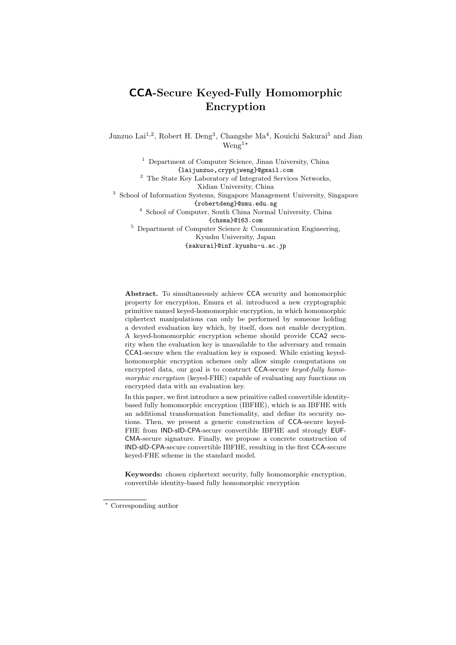# **CCA-Secure Keyed-Fully Homomorphic Encryption**

Junzuo Lai<sup>1,2</sup>, Robert H. Deng<sup>3</sup>, Changshe Ma<sup>4</sup>, Kouichi Sakurai<sup>5</sup> and Jian Weng<sup>1</sup>*<sup>⋆</sup>*

<sup>1</sup> Department of Computer Science, Jinan University, China {laijunzuo,cryptjweng}@gmail.com <sup>2</sup> The State Key Laboratory of Integrated Services Networks, Xidian University, China <sup>3</sup> School of Information Systems, Singapore Management University, Singapore {robertdeng}@smu.edu.sg <sup>4</sup> School of Computer, South China Normal University, China {chsma}@163.com  $5$  Department of Computer Science & Communication Engineering, Kyushu University, Japan {sakurai}@inf.kyushu-u.ac.jp

**Abstract.** To simultaneously achieve CCA security and homomorphic property for encryption, Emura et al. introduced a new cryptographic primitive named keyed-homomorphic encryption, in which homomorphic ciphertext manipulations can only be performed by someone holding a devoted evaluation key which, by itself, does not enable decryption. A keyed-homomorphic encryption scheme should provide CCA2 security when the evaluation key is unavailable to the adversary and remain CCA1-secure when the evaluation key is exposed. While existing keyedhomomorphic encryption schemes only allow simple computations on encrypted data, our goal is to construct CCA-secure *keyed-fully homomorphic encryption* (keyed-FHE) capable of evaluating any functions on encrypted data with an evaluation key.

In this paper, we first introduce a new primitive called convertible identitybased fully homomorphic encryption (IBFHE), which is an IBFHE with an additional transformation functionality, and define its security notions. Then, we present a generic construction of CCA-secure keyed-FHE from IND-sID-CPA-secure convertible IBFHE and strongly EUF-CMA-secure signature. Finally, we propose a concrete construction of IND-sID-CPA-secure convertible IBFHE, resulting in the first CCA-secure keyed-FHE scheme in the standard model.

**Keywords:** chosen ciphertext security, fully homomorphic encryption, convertible identity-based fully homomorphic encryption

*<sup>⋆</sup>* Corresponding author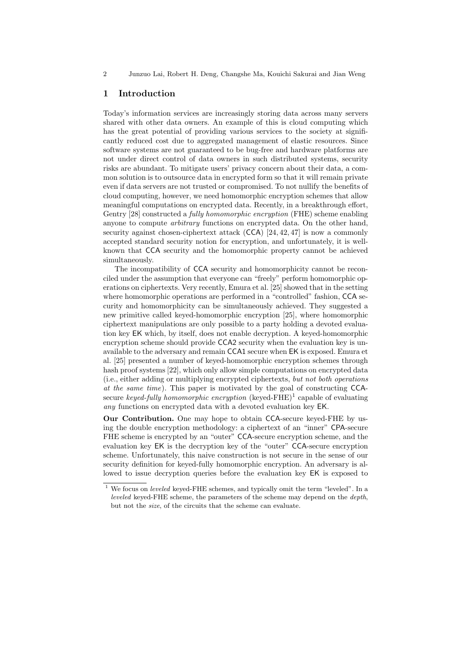# **1 Introduction**

Today's information services are increasingly storing data across many servers shared with other data owners. An example of this is cloud computing which has the great potential of providing various services to the society at significantly reduced cost due to aggregated management of elastic resources. Since software systems are not guaranteed to be bug-free and hardware platforms are not under direct control of data owners in such distributed systems, security risks are abundant. To mitigate users' privacy concern about their data, a common solution is to outsource data in encrypted form so that it will remain private even if data servers are not trusted or compromised. To not nullify the benefits of cloud computing, however, we need homomorphic encryption schemes that allow meaningful computations on encrypted data. Recently, in a breakthrough effort, Gentry [28] constructed a *fully homomorphic encryption* (FHE) scheme enabling anyone to compute *arbitrary* functions on encrypted data. On the other hand, security against chosen-ciphertext attack (CCA) [24, 42, 47] is now a commonly accepted standard security notion for encryption, and unfortunately, it is wellknown that CCA security and the homomorphic property cannot be achieved simultaneously.

The incompatibility of CCA security and homomorphicity cannot be reconciled under the assumption that everyone can "freely" perform homomorphic operations on ciphertexts. Very recently, Emura et al. [25] showed that in the setting where homomorphic operations are performed in a "controlled" fashion, CCA security and homomorphicity can be simultaneously achieved. They suggested a new primitive called keyed-homomorphic encryption [25], where homomorphic ciphertext manipulations are only possible to a party holding a devoted evaluation key EK which, by itself, does not enable decryption. A keyed-homomorphic encryption scheme should provide CCA2 security when the evaluation key is unavailable to the adversary and remain CCA1 secure when EK is exposed. Emura et al. [25] presented a number of keyed-homomorphic encryption schemes through hash proof systems [22], which only allow simple computations on encrypted data (i.e., either adding or multiplying encrypted ciphertexts, *but not both operations at the same time*). This paper is motivated by the goal of constructing CCAsecure *keyed-fully homomorphic encryption* (keyed-FHE)<sup>1</sup> capable of evaluating *any* functions on encrypted data with a devoted evaluation key EK.

**Our Contribution.** One may hope to obtain CCA-secure keyed-FHE by using the double encryption methodology: a ciphertext of an "inner" CPA-secure FHE scheme is encrypted by an "outer" CCA-secure encryption scheme, and the evaluation key EK is the decryption key of the "outer" CCA-secure encryption scheme. Unfortunately, this naive construction is not secure in the sense of our security definition for keyed-fully homomorphic encryption. An adversary is allowed to issue decryption queries before the evaluation key EK is exposed to

 $^{\rm 1}$  We focus on  $\emph{leveled}$  keyed-FHE schemes, and typically omit the term "leveled". In a *leveled* keyed-FHE scheme, the parameters of the scheme may depend on the *depth*, but not the *size*, of the circuits that the scheme can evaluate.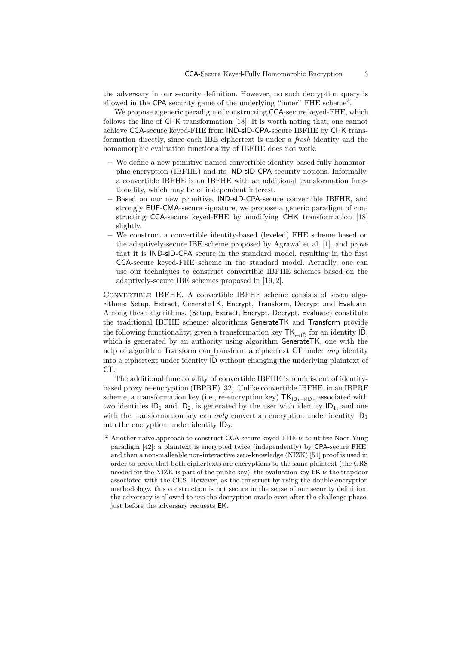the adversary in our security definition. However, no such decryption query is allowed in the CPA security game of the underlying "inner" FHE scheme<sup>2</sup> .

We propose a generic paradigm of constructing CCA-secure keyed-FHE, which follows the line of CHK transformation [18]. It is worth noting that, one cannot achieve CCA-secure keyed-FHE from IND-sID-CPA-secure IBFHE by CHK transformation directly, since each IBE ciphertext is under a *fresh* identity and the homomorphic evaluation functionality of IBFHE does not work.

- **–** We define a new primitive named convertible identity-based fully homomorphic encryption (IBFHE) and its IND-sID-CPA security notions. Informally, a convertible IBFHE is an IBFHE with an additional transformation functionality, which may be of independent interest.
- **–** Based on our new primitive, IND-sID-CPA-secure convertible IBFHE, and strongly EUF-CMA-secure signature, we propose a generic paradigm of constructing CCA-secure keyed-FHE by modifying CHK transformation [18] slightly.
- **–** We construct a convertible identity-based (leveled) FHE scheme based on the adaptively-secure IBE scheme proposed by Agrawal et al. [1], and prove that it is IND-sID-CPA secure in the standard model, resulting in the first CCA-secure keyed-FHE scheme in the standard model. Actually, one can use our techniques to construct convertible IBFHE schemes based on the adaptively-secure IBE schemes proposed in [19, 2].

Convertible IBFHE. A convertible IBFHE scheme consists of seven algorithms: Setup, Extract, GenerateTK, Encrypt, Transform, Decrypt and Evaluate. Among these algorithms, (Setup, Extract, Encrypt, Decrypt, Evaluate) constitute the traditional IBFHE scheme; algorithms GenerateTK and Transform provide CONVERTIBLE IBFHE. A convertible IBFHE scheme consists of seven algorithms: Setup, Extract, GenerateTK, Encrypt, Transform, Decrypt and Evaluate. Among these algorithms, (Setup, Extract, Encrypt, Decrypt, Evaluate) consti which is generated by an authority using algorithm GenerateTK, one with the help of algorithm Transform can transform a ciphertext CT under *any* identity the traditional IBFHE scheme; algorithms Generate IK and Transform provide<br>the following functionality: given a transformation key  $TK_{\rightarrow \tilde{D}}$  for an identity  $\tilde{D}$ ,<br>which is generated by an authority using algorithm CT.

The additional functionality of convertible IBFHE is reminiscent of identitybased proxy re-encryption (IBPRE) [32]. Unlike convertible IBFHE, in an IBPRE scheme, a transformation key (i.e., re-encryption key)  $TK<sub>1D₁→1D₂</sub>$  associated with two identities  $ID_1$  and  $ID_2$ , is generated by the user with identity  $ID_1$ , and one with the transformation key can *only* convert an encryption under identity  $ID_1$ into the encryption under identity  $ID_2$ .

<sup>&</sup>lt;sup>2</sup> Another naive approach to construct CCA-secure keyed-FHE is to utilize Naor-Yung paradigm [42]: a plaintext is encrypted twice (independently) by CPA-secure FHE, and then a non-malleable non-interactive zero-knowledge (NIZK) [51] proof is used in order to prove that both ciphertexts are encryptions to the same plaintext (the CRS needed for the NIZK is part of the public key); the evaluation key EK is the trapdoor associated with the CRS. However, as the construct by using the double encryption methodology, this construction is not secure in the sense of our security definition: the adversary is allowed to use the decryption oracle even after the challenge phase, just before the adversary requests EK.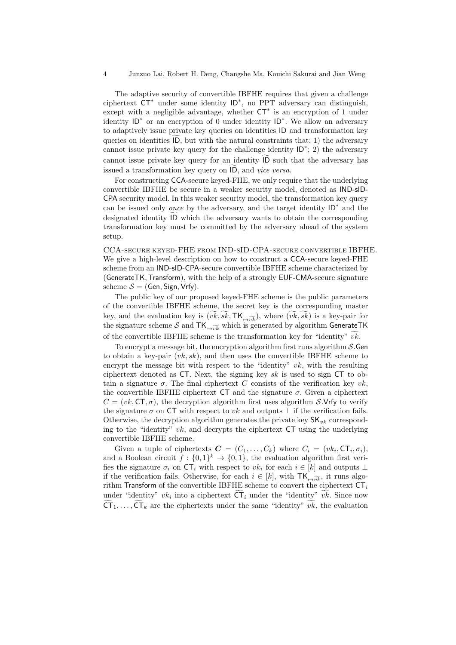The adaptive security of convertible IBFHE requires that given a challenge ciphertext CT*<sup>∗</sup>* under some identity ID*<sup>∗</sup>* , no PPT adversary can distinguish, except with a negligible advantage, whether CT*<sup>∗</sup>* is an encryption of 1 under identity ID*<sup>∗</sup>* or an encryption of 0 under identity ID*<sup>∗</sup>* . We allow an adversary to adaptively issue private key queries on identities ID and transformation key expected C<sub>1</sub><sup>+</sup> under some identity  $ID^*$ , no PPT adversary can distinguish, except with a negligible advantage, whether  $CT^*$  is an encryption of 1 under identity  $ID^*$  or an encryption of 0 under identity  $ID^*$ . We all cannot issue private key query for the challenge identity ID*<sup>∗</sup>* ; 2) the adversary calculated in the matter of the data transformation key queries on identities  $\overline{1D}$ , but with the natural constraints that: 1) the adversary cannot issue private key query for the challenge identity  $\overline{1D}^*$ ; 2) th issue private key queries on identities iD<br>queries on identities  $\overline{1D}$ , but with the natural constraints<br>cannot issue private key query for an identity  $\overline{1D}$  such<br>issued a transformation key query on  $\overline{1D}$ , an

For constructing CCA-secure keyed-FHE, we only require that the underlying convertible IBFHE be secure in a weaker security model, denoted as IND-sID-CPA security model. In this weaker security model, the transformation key query can be issued only *once* by the adversary, and the target identity ID*<sup>∗</sup>* and the designated identity  $ID$  which the adversary wants to obtain the corresponding transformation key must be committed by the adversary ahead of the system setup.

CCA-secure keyed-FHE from IND-sID-CPA-secure convertible IBFHE. We give a high-level description on how to construct a CCA-secure keyed-FHE scheme from an IND-sID-CPA-secure convertible IBFHE scheme characterized by (GenerateTK*,*Transform), with the help of a strongly EUF-CMA-secure signature scheme  $S = (Gen, Sign, Vrfy)$ .

The public key of our proposed keyed-FHE scheme is the public parameters of the convertible IBFHE scheme, the secret key is the corresponding master (Generate  $i$  K, Fransform), with the help of a strongly EOF-CMA-secure signature<br>scheme  $S = (Gen, Sign, Vrfy)$ .<br>The public key of our proposed keyed-FHE scheme is the public parameters<br>of the convertible IBFHE scheme, the secret the signature scheme *S* and  $TK_{\rightarrow \widetilde{vk}}$  which is generated by algorithm GenerateTK of the convertible IBFHE scheme is the transformation key for "identity"  $\widetilde{vk}$ . The public key of our proposed keyed-TTE scheme is the public parameter<br>of the convertible IBFHE scheme, the secret key is the corresponding mast<br>key, and the evaluation key is  $(\widetilde{vk}, \widetilde{sk}, \mathsf{TK}_{\rightarrow \widetilde{vk}})$ , where  $(\widet$ 

To encrypt a message bit, the encryption algorithm first runs algorithm *S.*Gen to obtain a key-pair (*vk, sk*), and then uses the convertible IBFHE scheme to encrypt the message bit with respect to the "identity" *vk*, with the resulting ciphertext denoted as CT. Next, the signing key *sk* is used to sign CT to obtain a signature  $\sigma$ . The final ciphertext *C* consists of the verification key  $vk$ , the convertible IBFHE ciphertext  $CT$  and the signature  $\sigma$ . Given a ciphertext  $C = (vk, \text{CT}, \sigma)$ , the decryption algorithm first uses algorithm *S.*Vrfy to verify the signature  $\sigma$  on CT with respect to *vk* and outputs  $\perp$  if the verification fails. Otherwise, the decryption algorithm generates the private key  $SK_{vk}$  corresponding to the "identity" *vk*, and decrypts the ciphertext CT using the underlying convertible IBFHE scheme.

Given a tuple of ciphertexts  $\mathbf{C} = (C_1, \ldots, C_k)$  where  $C_i = (vk_i, \mathsf{CT}_i, \sigma_i)$ , and a Boolean circuit  $f: \{0,1\}^k \to \{0,1\}$ , the evaluation algorithm first verifies the signature  $\sigma_i$  on  $\mathsf{CT}_i$  with respect to  $vk_i$  for each  $i \in [k]$  and outputs  $\perp$ if the verification fails. Otherwise, for each  $i \in [k]$ , with  $TK_{\rightarrow \widetilde{vk}}$ , it runs algo-<br> $\ddot{r}$ rithm Transform of the convertible IBFHE scheme to convert the ciphertext CT*<sup>i</sup>* under "identity"  $vk_i$  into a ciphertext  $\mathsf{CT}_i$  under the "identity"  $vk$ . Since now if  $f: \{0,1\}^n \to \{0,1\}$ , the evaluation algorithm first veri-<br>on  $\mathsf{CT}_i$  with respect to  $vk_i$  for each  $i \in [k]$  and outputs  $\perp$ <br>s. Otherwise, for each  $i \in [k]$ , with  $\mathsf{TK}_{\rightarrow \widetilde{vk}}$ , it runs algo-<br>e convertible IB Thes the signature  $\sigma_i$  on  $C_1$ <sup>*i*</sup> with respect to  $vk_i$  for each  $i \in [k]$ , and outputs  $\bot$  if the verification fails. Otherwise, for each  $i \in [k]$ , with  $\mathsf{TK}_{\bot \rightarrow \widetilde{vk}}$ , it runs algorithm **Transform** of the conve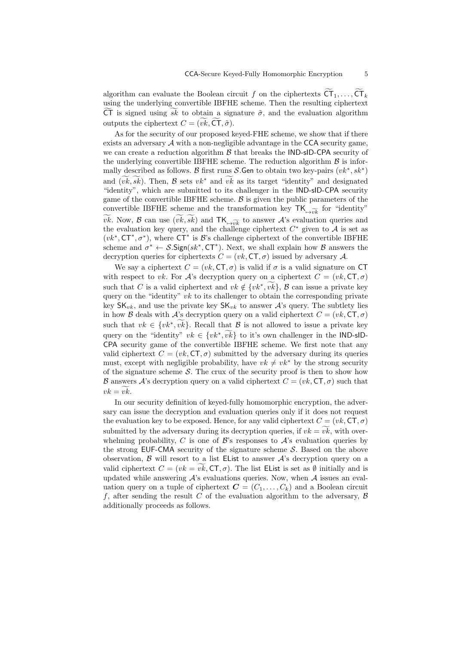CCA-Secure Keyed-Fully Homomorphic Encryption 5<br>algorithm can evaluate the Boolean circuit  $f$  on the ciphertexts<br>  $\widetilde{\textsf{CT}}_1,\ldots,\widetilde{\textsf{CT}}_k$ using the underlying convertible IBFHE scheme. Then the resulting ciphertext cCA-secure Reyed-Funy Homomorphic Encryption<br>algorithm can evaluate the Boolean circuit f on the ciphertexts  $\widetilde{CT}_1, \ldots, \widetilde{CT}_k$ <br>using the underlying convertible IBFHE scheme. Then the resulting ciphertext<br> $\widetilde{CT}$  i algorithm can evaluate the Boolean cindusing the underlying convertible IBFH.<br>  $\widetilde{\text{CT}}$  is signed using  $\widetilde{sk}$  to obtain a sign outputs the ciphertext  $C = (\widetilde{vk}, \widetilde{\text{CT}}, \widetilde{\sigma})$ .

As for the security of our proposed keyed-FHE scheme, we show that if there exists an adversary  $A$  with a non-negligible advantage in the  $CCA$  security game, we can create a reduction algorithm *B* that breaks the IND-sID-CPA security of the underlying convertible IBFHE scheme. The reduction algorithm  $\beta$  is informally described as follows. *B* first runs *S*.Gen to obtain two key-pairs  $(vk^*, sk^*)$ and  $(\widetilde{vk}, \widetilde{sk})$ . Then,  $\mathcal B$  sets  $vk^*$  and  $\widetilde{vk}$  as its target "identity" and designated "identity", which are submitted to its challenger in the IND-sID-CPA security game of the convertible IBFHE scheme. *B* is given the public parameters of the convertible IBFHE scheme and the transformation key  $TK_{\rightarrow \widetilde{nk}}$  for "identity" *vk*. Now, *B* can use  $(vk, sk)$  and  $TK_{\rightarrow v\vec{k}}$  to answer *A*'s evaluation queries and the evaluation key query, and the challenge ciphertext  $C^*$  given to  $\mathcal A$  is set as  $(vk^*, C^*, \sigma^*)$ , where  $CT^*$  is  $\mathcal{B}$ 's challenge ciphertext of the convertible IBFHE scheme and  $\sigma^* \leftarrow S.\mathsf{Sign}(sk^*,\mathsf{CT}^*)$ . Next, we shall explain how  $\mathcal B$  answers the decryption queries for ciphertexts  $C = (vk, \text{CT}, \sigma)$  issued by adversary A.

We say a ciphertext  $C = (vk, \text{CT}, \sigma)$  is valid if  $\sigma$  is a valid signature on CT with respect to *vk*. For *A*'s decryption query on a ciphertext  $C = (vk, \text{CT}, \sigma)$ such that *C* is a valid ciphertext and  $vk \notin \{vk^*, vk\}$ , *B* can issue a private key *f*) issued by adversary *A*.<br> *if*  $\sigma$  is a valid signature on CT<br> *n* a ciphertext  $C = (vk, CT, \sigma)$ ,  $\widetilde{vk}$ , *B* can issue a private key query on the "identity" *vk* to its challenger to obtain the corresponding private key  $\mathsf{SK}_{vk}$ , and use the private key  $\mathsf{SK}_{vk}$  to answer  $\mathcal{A}$ 's query. The subtlety lies in how *B* deals with *A*'s decryption query on a valid ciphertext  $C = (vk, \text{CT}, \sigma)$ such that  $vk \in \{vk^*, vk\}$ . Recall that B is not allowed to issue a private key *x vk* to its challenger to obtain the corresponding private  $\mathbb{R}^n$ ,  $\mathbb{R}^n$  is thallenger to obtain the corresponding private e private key  $\mathsf{SK}_{vk}$  to answer  $\mathcal{A}$ 's query. The subtlety lies  $\mathcal{A}$ 's dec query on the "identity"  $vk \in \{vk^*, vk\}$  to it's own challenger in the **IND-sID-SK**<sub>vk</sub> to answer *A*'s query. The subtlety lies<br>query on a valid ciphertext  $C = (vk, \text{CT}, \sigma)$ <br>hat *B* is not allowed to issue a private key<br> $\overrightarrow{vk}$  to it's own challenger in the IND-sID-CPA security game of the convertible IBFHE scheme. We first note that any valid ciphertext  $C = (vk, \text{CT}, \sigma)$  submitted by the adversary during its queries must, except with negligible probability, have  $vk \neq vk^*$  by the strong security of the signature scheme  $S$ . The crux of the security proof is then to show how *B* answers *A*'s decryption query on a valid ciphertext *C* = (*vk,* CT*, σ*) such that *valid cip*<br>must, ex<br>of the sig<br> $\mathcal{B}$  answer<br> $vk = v\vec{k}$ .

In our security definition of keyed-fully homomorphic encryption, the adversary can issue the decryption and evaluation queries only if it does not request the evaluation key to be exposed. Hence, for any valid ciphertext  $C = (vk, \text{CT}, \sigma)$  $vk = vk$ .<br>In our security definition of keyed-fully homomorphic encryption, the adversary can issue the decryption and evaluation queries only if it does not request<br>the evaluation key to be exposed. Hence, for any valid cip whelming probability, C is one of  $\mathcal{B}$ 's responses to  $\mathcal{A}$ 's evaluation queries by the strong EUF-CMA security of the signature scheme *S*. Based on the above observation, *B* will resort to a list EList to answer *A*'s decryption query on a submitted by the adversary during its decryption queries, if  $vk = vk$ , with over-<br>whelming probability, *C* is one of *B*'s responses to *A*'s evaluation queries by<br>the strong EUF-CMA security of the signature scheme *S*. Ba updated while answering *A*'s evaluations queries. Now, when *A* issues an evaluation query on a tuple of ciphertext  $\mathbf{C} = (C_1, \ldots, C_k)$  and a Boolean circuit f, after sending the result C of the evaluation algorithm to the adversary,  $\beta$ additionally proceeds as follows.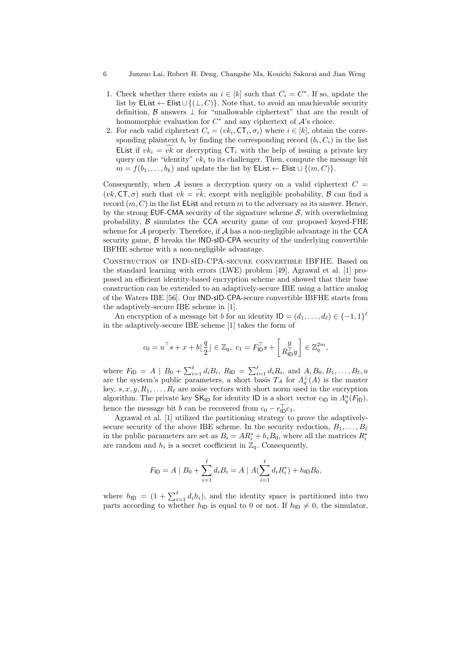- 1. Check whether there exists an  $i \in [k]$  such that  $C_i = C^*$ . If so, update the list by EList *←* Elist*∪ {*(*⊥, C*)*}*. Note that, to avoid an unachievable security definition, *B* answers *⊥* for "unallowable ciphertext" that are the result of homomorphic evaluation for  $C^*$  and any ciphertext of  $\mathcal{A}$ 's choice.
- 2. For each valid ciphertext  $C_i = (vk_i, \text{CT}_i, \sigma_i)$  where  $i \in [k]$ , obtain the corresponding plaintext  $b_i$  by finding the corresponding record  $(b_i, C_i)$  in the list definition,  $\mathcal{B}$  answers  $\bot$  for "unallowable cipnertext" that are the result of<br>homomorphic evaluation for  $C^*$  and any ciphertext of  $\mathcal{A}$ 's choice.<br>For each valid ciphertext  $C_i = (vk_i, \mathsf{CT}_i, \sigma_i)$  where  $i \in [k]$ query on the "identity"  $vk_i$  to its challenger. Then, compute the message bit  $m = f(b_1, ..., b_k)$  and update the list by EList  $\leftarrow$  Elist  $\cup \{(m, C)\}$ .<br>Consequently, when *A* issues a decryption query on a valid ciphertext  $C = ($  $m = f(b_1, \ldots, b_k)$  and update the list by EList  $\leftarrow$  Elist  $\cup \{(m, C)\}.$

Consequently, when *A* issues a decryption query on a valid ciphertext  $C =$ record  $(m, C)$  in the list EList and return m to the adversary as its answer. Hence, by the strong  $EUF-CMA$  security of the signature scheme  $S$ , with overwhelming probability, *B* simulates the CCA security game of our proposed keyed-FHE scheme for *A* properly. Therefore, if *A* has a non-negligible advantage in the CCA security game, *B* breaks the IND-sID-CPA security of the underlying convertible IBFHE scheme with a non-negligible advantage.

Construction of IND-sID-CPA-secure convertible IBFHE. Based on the standard learning with errors (LWE) problem [49], Agrawal et al. [1] proposed an efficient identity-based encryption scheme and showed that their base construction can be extended to an adaptively-secure IBE using a lattice analog of the Waters IBE [56]. Our IND-sID-CPA-secure convertible IBFHE starts from<br>the edentively seeure IBE scheme in [1] the adaptively-secure IBE scheme in [1].

An encryption of a message bit *b* for an identity  $\mathsf{ID} = (d_1, \ldots, d_\ell) \in \{-1, 1\}^\ell$ in the adaptively-secure IBE scheme  $[1]$  takes the form of

$$
c_0 = u^{\top} s + x + b \lfloor \frac{q}{2} \rfloor \in \mathbb{Z}_q, \ c_1 = F_{\mathsf{ID}}^{\top} s + \left[ \frac{y}{R_{\mathsf{ID}}^{\top} y} \right] \in \mathbb{Z}_q^{2m},
$$

where  $F_{\text{ID}} = A \mid B_0 + \sum_{i=1}^{\ell} d_i B_i$ ,  $R_{\text{ID}} = \sum_{i=1}^{\ell} d_i R_i$ , and  $A, B_0, B_1, \ldots, B_{\ell}, u$ are the system's public parameters, a short basis  $T_A$  for  $\Lambda_q^{\perp}(A)$  is the master key,  $s, x, y, R_1, \ldots, R_\ell$  are noise vectors with short norm used in the encryption algorithm. The private key  $\mathsf{SK}_{\mathsf{ID}}$  for identity  $\mathsf{ID}$  is a short vector  $e_{\mathsf{ID}}$  in  $\Lambda_q^u(F_{\mathsf{ID}})$ , hence the message bit *b* can be recovered from  $c_0 - e_{\text{ID}}^{\dagger} c_1$ .

Agrawal et al. [1] utilized the partitioning strategy to prove the adaptivelysecure security of the above IBE scheme. In the security reduction,  $B_1, \ldots, B_\ell$ in the public parameters are set as  $B_i = AR_i^* + h_iB_0$ , where all the matrices  $R_i^*$ are random and  $h_i$  is a secret coefficient in  $\mathbb{Z}_q$ . Consequently,

$$
F_{\mathsf{ID}} = A \mid B_0 + \sum_{i=1}^{\ell} d_i B_i = A \mid A(\sum_{i=1}^{\ell} d_i R_i^*) + h_{\mathsf{ID}} B_0,
$$
  
where  $h_{\mathsf{ID}} = (1 + \sum_{i=1}^{\ell} d_i h_i)$ , and the identity space is partitioned into two

parts according to whether  $h_{\text{ID}}$  is equal to 0 or not. If  $h_{\text{ID}} \neq 0$ , the simulator,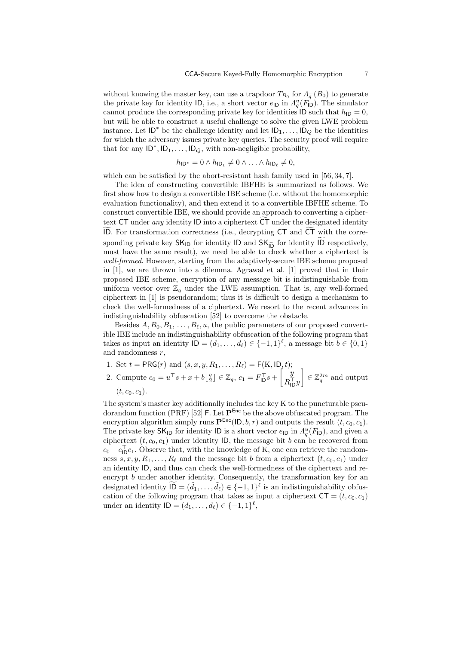without knowing the master key, can use a trapdoor  $T_{B_0}$  for  $\Lambda_q^{\perp}(B_0)$  to generate the private key for identity ID, i.e., a short vector  $e_{\text{ID}}$  in  $\Lambda_q^u(F_{\text{ID}})$ . The simulator cannot produce the corresponding private key for identities  $ID$  such that  $h_{ID} = 0$ , but will be able to construct a useful challenge to solve the given LWE problem instance. Let  $ID^*$  be the challenge identity and let  $ID_1, \ldots, ID_Q$  be the identities for which the adversary issues private key queries. The security proof will require that for any  $ID^*$ ,  $ID_1, \ldots, ID_Q$ , with non-negligible probability,

$$
h_{\mathsf{ID}^*} = 0 \land h_{\mathsf{ID}_1} \neq 0 \land \dots \land h_{\mathsf{ID}_\ell} \neq 0,
$$

which can be satisfied by the abort-resistant hash family used in [56, 34, 7].

The idea of constructing convertible IBFHE is summarized as follows. We first show how to design a convertible IBE scheme (i.e. without the homomorphic evaluation functionality), and then extend it to a convertible IBFHE scheme. To construct convertible IBE, we should provide an approach to converting a ciphertext  $CT$  under *any* identity ID into a ciphertext  $CT$  under the designated identity ITST show how to design a convertible IBE scheme (i.e. without the nomomorphic<br>evaluation functionality), and then extend it to a convertible IBFHE scheme. To<br>construct convertible IBE, we should provide an approach to co construct convertible IBE, we should provide an approach to converting a cipher-<br>text CT under *any* identity ID into a ciphertext  $\widetilde{CT}$  under the designated identity<br>ID. For transformation correctness (i.e., decrypti must have the same result), we need be able to check whether a ciphertext is *well-formed*. However, starting from the adaptively-secure IBE scheme proposed in [1], we are thrown into a dilemma. Agrawal et al. [1] proved that in their proposed IBE scheme, encryption of any message bit is indistinguishable from uniform vector over  $\mathbb{Z}_q$  under the LWE assumption. That is, any well-formed ciphertext in [1] is pseudorandom; thus it is difficult to design a mechanism to check the well-formedness of a ciphertext. We resort to the recent advances in indistinguishability obfuscation [52] to overcome the obstacle.

Besides  $A, B_0, B_1, \ldots, B_\ell, u$ , the public parameters of our proposed convertible IBE include an indistinguishability obfuscation of the following program that takes as input an identity  $ID = (d_1, \ldots, d_\ell) \in \{-1, 1\}^\ell$ , a message bit  $b \in \{0, 1\}$ and randomness *r*,

1. Set  $t = \text{PRG}(r)$  and  $(s, x, y, R_1, \dots, R_\ell) = F(K, \text{ID}, t);$ 2. Compute  $c_0 = u^{\top} s + x + b \left\lfloor \frac{q}{2} \right\rfloor \in \mathbb{Z}_q, c_1 = F_{\text{ID}}^{\top} s + \left\lceil \frac{y}{R_{\text{II}}^{\top}} \right\rceil$  $R<sub>1D</sub><sup>+</sup>y$  $\in \mathbb{Z}_q^{2m}$  and output  $(t, c_0, c_1).$ 

The system's master key additionally includes the key K to the puncturable pseudorandom function (PRF) [52] F. Let **P**Enc be the above obfuscated program. The encryption algorithm simply runs  $\mathbf{P}^{\text{Enc}}(|D, b, r)$  and outputs the result  $(t, c_0, c_1)$ . The private key  $\mathsf{SK}_{\mathsf{ID}}$  for identity  $\mathsf{ID}$  is a short vector  $e_{\mathsf{ID}}$  in  $\Lambda_q^u(F_{\mathsf{ID}})$ , and given a ciphertext  $(t, c_0, c_1)$  under identity ID, the message bit *b* can be recovered from  $c_0 - e_{\text{ID}}^{\dagger} c_1$ . Observe that, with the knowledge of K, one can retrieve the randomness  $s, x, y, R_1, \ldots, R_\ell$  and the message bit *b* from a ciphertext  $(t, c_0, c_1)$  under an identity ID, and thus can check the well-formedness of the ciphertext and reencrypt *b* under another identity. Consequently, the transformation key for an  $c_0 - e_{\text{ID}}c_1$ . Observe that, with the knowledge of K, one can retrieve the random-<br>ness  $s, x, y, R_1, \ldots, R_\ell$  and the message bit  $b$  from a ciphertext  $(t, c_0, c_1)$  under<br>an identity ID, and thus can check the well-forme cation of the following program that takes as input a ciphertext  $CT = (t, c_0, c_1)$ under an identity  $ID = (d_1, ..., d_\ell) \in \{-1, 1\}^\ell$ ,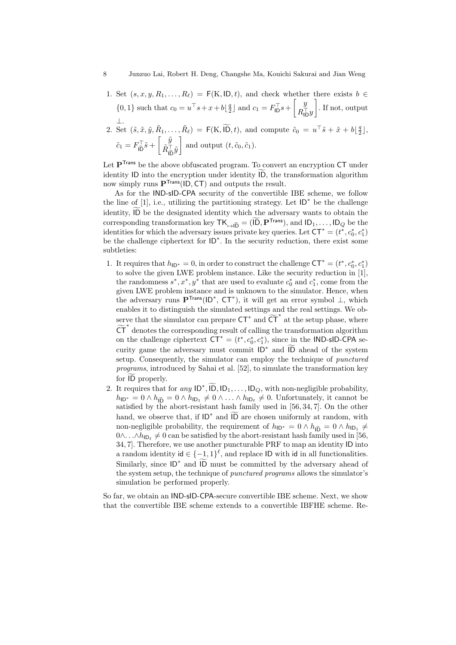- 1. Set  $(s, x, y, R_1, \ldots, R_\ell) = F(K, ID, t)$ , and check whether there exists  $b \in$  $\{0, 1\}$  such that  $c_0 = u^{\top} s + x + b \left\lfloor \frac{q}{2} \right\rfloor$  and  $c_1 = F_{\text{ID}}^{\top} s + \left\lfloor \frac{y}{B_{\text{II}}^{\top} s + f} \right\rfloor$  $R<sub>1D</sub><sup>⊺</sup>$  . If not, output *⊥*.  $\mathcal{F}_{\ell}$ ) = F(K, ID, *t*), and check whether t<br>  $u^{\top} s + x + b \lfloor \frac{q}{2} \rfloor$  and  $c_1 = F_{\mathsf{ID}}^{\top} s + \begin{bmatrix} y \\ R_{\mathsf{ID}}^{\top} y \end{bmatrix}$ <br>  $\mathcal{F}_{\ell}$ ) = F(K,  $\widetilde{\mathsf{ID}}, t$ ), and compute  $\tilde{c}_0 = u$  $\mathcal{L}$
- 2. Set  $(\tilde{s}, \tilde{x}, \tilde{y}, \tilde{R}_1, \ldots, \tilde{R}_\ell) = \mathsf{F}(\mathbf{K}, \widetilde{\mathsf{ID}}, t)$ , and compute  $\tilde{c}_0 = u^\top \tilde{s} + \tilde{x} + b \lfloor \frac{q}{2} \rfloor$ ,  $\tilde{c}_1 = F_{\tilde{\mathsf{ID}}}^\top \tilde{s} + \begin{bmatrix} \tilde{y} \\ \tilde{R}_{\tilde{\mathsf{IF}}}^\top \end{bmatrix}$ *R*˜*<sup>⊤</sup>* IDe *y*˜  $\tilde{c}_1 = F_{\tilde{\mathsf{1D}}}^{\top} \tilde{s} + \begin{bmatrix} \tilde{y} \\ \tilde{R}_{\tilde{\mathsf{1D}}}^{\top} \tilde{y} \end{bmatrix}$  and output  $(t, \tilde{c}_0, \tilde{c}_1)$ .<br>Let  $\mathbf{P}^{\mathsf{Trans}}$  be the above obfuscated program. To convert an encryption CT under<br>identity ID into the en

Let **P**<sup>Trans</sup> be the above obfuscated program. To convert an encryption CT under now simply runs **P**Trans(ID*,* CT) and outputs the result.

As for the IND-sID-CPA security of the convertible IBE scheme, we follow the line of [1], i.e., utilizing the partitioning strategy. Let ID*<sup>∗</sup>* be the challenge identity ID into the encryption under identity  $\widetilde{ID}$ , the transformation algorithm<br>now simply runs  $\mathbf{P}^{Trans}(\mathsf{ID}, \mathsf{CT})$  and outputs the result.<br>As for the IND-sID-CPA security of the convertible IBE scheme, we foll how simply runs  $\mathbf{P}^{(1)}$  and outputs the result.<br>
As for the IND-sID-CPA security of the convertible IBE scheme, we follow<br>
the line of [1], i.e., utilizing the partitioning strategy. Let  $ID^*$  be the challenge<br>
ident be the challenge ciphertext for ID*<sup>∗</sup>* . In the security reduction, there exist some subtleties:

- 1. It requires that  $h_{\text{ID*}} = 0$ , in order to construct the challenge  $\text{CT}^* = (t^*, c_0^*, c_1^*)$ to solve the given LWE problem instance. Like the security reduction in [1], the randomness  $s^*$ ,  $x^*$ ,  $y^*$  that are used to evaluate  $c_0^*$  and  $c_1^*$ , come from the given LWE problem instance and is unknown to the simulator. Hence, when the adversary runs **P**Trans(ID*<sup>∗</sup>* , CT*<sup>∗</sup>* ), it will get an error symbol *⊥*, which enables it to distinguish the simulated settings and the real settings. We observe that the simulator can prepare  $CT^*$  and  $\widetilde{CT}^*$  at the setup phase, where evalua<br>
own to<br>
will get<br>
ttings and  $\widetilde{\mathsf{CT}}$ grv<br>the<br>ena<br>ser<br>CT *∗* denotes the corresponding result of calling the transformation algorithm on the challenge ciphertext  $CT^* = (t^*, c_0^*, c_1^*)$ , since in the IND-sID-CPA security game the adversary must commit ID*<sup>∗</sup>*  $\overline{LT}^*$  at the setup phase, where<br>the transformation algorithm<br>since in the IND-sID-CPA se-<br>and  $\overline{1D}$  ahead of the system setup. Consequently, the simulator can employ the technique of *punctured programs*, introduced by Sahai et al. [52], to simulate the transformation key on the chaneng<br>curity game th<br>setup. Consequ<br>*programs*, intro<br>for  $\widetilde{ID}$  properly. curity game the adversary must commit *ID* and *ID* anead of the system<br>setup. Consequently, the simulator can employ the technique of *puncturea*<br>*programs*, introduced by Sahai et al. [52], to simulate the transformatio
- $h_{\mathsf{ID}^*} = 0 \land h_{\mathsf{ID}} = 0 \land h_{\mathsf{ID}_1} \neq 0 \land \dots \land h_{\mathsf{ID}_\ell} \neq 0$ . Unfortunately, it cannot be satisfied by the abort-resistant hash family used in [56, 34, 7]. On the other hand, we observe that, if  $ID^*$  and  $ID$  are chosen uniformly at random, with  $\lambda_1, \lambda_2, \ldots, \lambda_n$  with non-negligible probability,<br>  $\lambda \ldots \lambda_n$   $h_{\text{ID}_\ell} \neq 0$ . Unfortunately, it cannot be<br>
t hash family used in [56, 34, 7]. On the other<br>
and  $\widetilde{\text{ID}}$  are chosen uniformly at random, with non-negligible probability, the requirement of  $h_{\mathsf{ID}*} = 0 \wedge h_{\mathsf{ID}} = 0 \wedge h_{\mathsf{ID}_1} \neq$ 0∧.  $\ldots \wedge h_{\mathsf{ID}_\ell} \neq 0$  can be satisfied by the abort-resistant hash family used in [56, 34, 7]. Therefore, we use another puncturable PRF to map an identity ID into a random identity  $id \in \{-1, 1\}^{\ell}$ , and replace ID with id in all functionalities. Similarly, since  $ID^*$  and  $ID$  must be committed by the adversary ahead of builty, the requirement of  $h_{\text{ID}^*} = 0 \wedge h_{\tilde{\text{ID}}} = 0 \wedge h_{\text{ID}_1} \neq$ <br>be satisfied by the abort-resistant hash family used in [56,<br>use another puncturable PRF to map an identity ID into<br> $\in \{-1,1\}^{\ell}$ , and replace ID the system setup, the technique of *punctured programs* allows the simulator's simulation be performed properly.

So far, we obtain an IND-sID-CPA-secure convertible IBE scheme. Next, we show that the convertible IBE scheme extends to a convertible IBFHE scheme. Re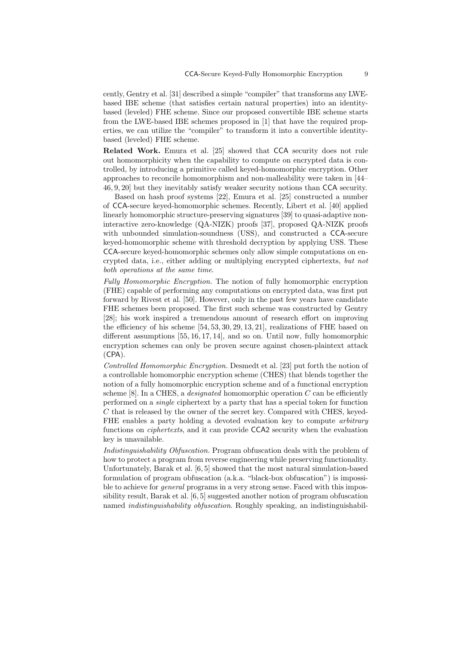cently, Gentry et al. [31] described a simple "compiler" that transforms any LWEbased IBE scheme (that satisfies certain natural properties) into an identitybased (leveled) FHE scheme. Since our proposed convertible IBE scheme starts from the LWE-based IBE schemes proposed in [1] that have the required properties, we can utilize the "compiler" to transform it into a convertible identitybased (leveled) FHE scheme.

**Related Work.** Emura et al. [25] showed that CCA security does not rule out homomorphicity when the capability to compute on encrypted data is controlled, by introducing a primitive called keyed-homomorphic encryption. Other approaches to reconcile homomorphism and non-malleability were taken in [44– 46, 9, 20] but they inevitably satisfy weaker security notions than CCA security.

Based on hash proof systems [22], Emura et al. [25] constructed a number of CCA-secure keyed-homomorphic schemes. Recently, Libert et al. [40] applied linearly homomorphic structure-preserving signatures [39] to quasi-adaptive noninteractive zero-knowledge (QA-NIZK) proofs [37], proposed QA-NIZK proofs with unbounded simulation-soundness (USS), and constructed a CCA-secure keyed-homomorphic scheme with threshold decryption by applying USS. These CCA-secure keyed-homomorphic schemes only allow simple computations on encrypted data, i.e., either adding or multiplying encrypted ciphertexts, *but not both operations at the same time*.

*Fully Homomorphic Encryption.* The notion of fully homomorphic encryption (FHE) capable of performing any computations on encrypted data, was first put forward by Rivest et al. [50]. However, only in the past few years have candidate FHE schemes been proposed. The first such scheme was constructed by Gentry [28]; his work inspired a tremendous amount of research effort on improving the efficiency of his scheme [54, 53, 30, 29, 13, 21], realizations of FHE based on different assumptions [55, 16, 17, 14], and so on. Until now, fully homomorphic encryption schemes can only be proven secure against chosen-plaintext attack (CPA).

*Controlled Homomorphic Encryption.* Desmedt et al. [23] put forth the notion of a controllable homomorphic encryption scheme (CHES) that blends together the notion of a fully homomorphic encryption scheme and of a functional encryption scheme [8]. In a CHES, a *designated* homomorphic operation *C* can be efficiently performed on a *single* ciphertext by a party that has a special token for function *C* that is released by the owner of the secret key. Compared with CHES, keyed-FHE enables a party holding a devoted evaluation key to compute *arbitrary* functions on *ciphertexts*, and it can provide CCA2 security when the evaluation key is unavailable.

*Indistinguishability Obfuscation.* Program obfuscation deals with the problem of how to protect a program from reverse engineering while preserving functionality. Unfortunately, Barak et al. [6, 5] showed that the most natural simulation-based formulation of program obfuscation (a.k.a. "black-box obfuscation") is impossible to achieve for *general* programs in a very strong sense. Faced with this impossibility result, Barak et al. [6, 5] suggested another notion of program obfuscation named *indistinguishability obfuscation*. Roughly speaking, an indistinguishabil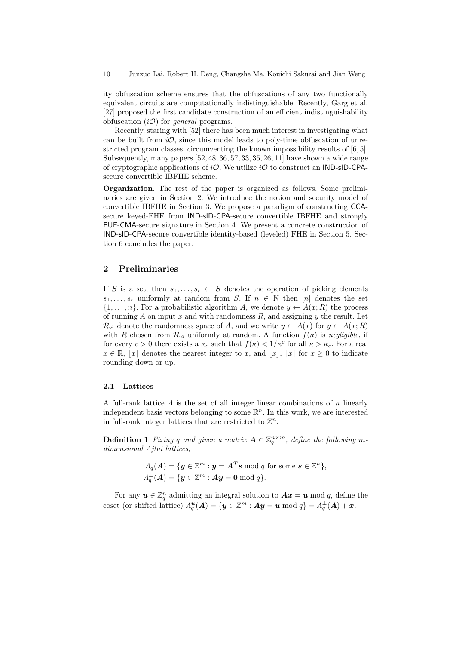ity obfuscation scheme ensures that the obfuscations of any two functionally equivalent circuits are computationally indistinguishable. Recently, Garg et al. [27] proposed the first candidate construction of an efficient indistinguishability obfuscation (*iO*) for *general* programs.

Recently, staring with [52] there has been much interest in investigating what can be built from  $i\mathcal{O}$ , since this model leads to poly-time obfuscation of unrestricted program classes, circumventing the known impossibility results of [6, 5]. Subsequently, many papers  $[52, 48, 36, 57, 33, 35, 26, 11]$  have shown a wide range of cryptographic applications of *iO*. We utilize *iO* to construct an IND-sID-CPAsecure convertible IBFHE scheme.

**Organization.** The rest of the paper is organized as follows. Some preliminaries are given in Section 2. We introduce the notion and security model of convertible IBFHE in Section 3. We propose a paradigm of constructing CCAsecure keyed-FHE from IND-sID-CPA-secure convertible IBFHE and strongly EUF-CMA-secure signature in Section 4. We present a concrete construction of IND-sID-CPA-secure convertible identity-based (leveled) FHE in Section 5. Section 6 concludes the paper.

# **2 Preliminaries**

If *S* is a set, then  $s_1, \ldots, s_t \leftarrow S$  denotes the operation of picking elements  $s_1, \ldots, s_t$  uniformly at random from *S*. If  $n \in \mathbb{N}$  then [*n*] denotes the set *{*1*, . . . , n}*. For a probabilistic algorithm *A*, we denote *y ← A*(*x*; *R*) the process of running *A* on input *x* and with randomness *R*, and assigning *y* the result. Let  $\mathcal{R}_A$  denote the randomness space of *A*, and we write  $y \leftarrow A(x)$  for  $y \leftarrow A(x; R)$ with *R* chosen from  $\mathcal{R}_A$  uniformly at random. A function  $f(\kappa)$  is *negligible*, if for every  $c > 0$  there exists a  $\kappa_c$  such that  $f(\kappa) < 1/\kappa^c$  for all  $\kappa > \kappa_c$ . For a real  $x \in \mathbb{R}, |x|$  denotes the nearest integer to *x*, and  $|x|, |x|$  for  $x \geq 0$  to indicate rounding down or up.

#### **2.1 Lattices**

A full-rank lattice *Λ* is the set of all integer linear combinations of *n* linearly independent basis vectors belonging to some R *<sup>n</sup>*. In this work, we are interested in full-rank integer lattices that are restricted to  $\mathbb{Z}^n$ .

**Definition 1** *Fixing q and given a matrix*  $A \in \mathbb{Z}_q^{n \times m}$ , *define the following mdimensional Ajtai lattices,*

$$
A_q(\mathbf{A}) = \{ \mathbf{y} \in \mathbb{Z}^m : \mathbf{y} = \mathbf{A}^T \mathbf{s} \bmod q \text{ for some } \mathbf{s} \in \mathbb{Z}^n \},
$$
  

$$
A_q^\perp(\mathbf{A}) = \{ \mathbf{y} \in \mathbb{Z}^m : \mathbf{A}\mathbf{y} = \mathbf{0} \bmod q \}.
$$

For any  $u \in \mathbb{Z}_q^n$  admitting an integral solution to  $Ax = u \mod q$ , define the  $\text{coset}$  (or shifted lattice)  $\Lambda_q^{\boldsymbol{u}}(\boldsymbol{A}) = \{ \boldsymbol{y} \in \mathbb{Z}^m : \boldsymbol{Ay} = \boldsymbol{u} \bmod q \} = \Lambda_q^{\perp}(\boldsymbol{A}) + \boldsymbol{x}.$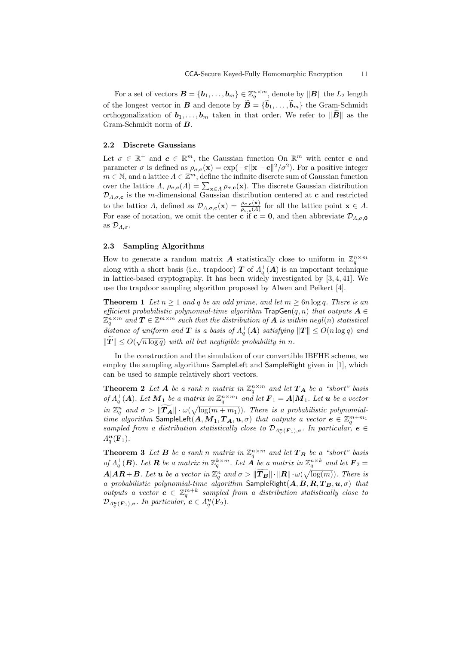For a set of vectors  $\mathbf{B} = \{\mathbf{b}_1, \dots, \mathbf{b}_m\} \in \mathbb{Z}_q^{n \times m}$ , denote by  $\|\mathbf{B}\|$  the  $L_2$  length **CCA-Secure Keyed-Fully Homomorphic Encryption** 11<br>
For a set of vectors  $\mathbf{B} = \{\mathbf{b}_1, \dots, \mathbf{b}_m\} \in \mathbb{Z}_q^{n \times m}$ , denote by  $\|\mathbf{B}\|$  the  $L_2$  length<br>
of the longest vector in  $\mathbf{B}$  and denote by  $\widetilde{\mathbf{B}} = \{\$ For a set of vectors  $\mathbf{B} = \{\mathbf{b}_1, \dots, \mathbf{b}_m\} \in \mathbb{Z}_q^{n \times m}$ , denote by  $||\mathbf{B}||$  the  $L_2$  length of the longest vector in  $\mathbf{B}$  and denote by  $\widetilde{\mathbf{B}} = \{\widetilde{\mathbf{b}}_1, \dots, \widetilde{\mathbf{b}}_m\}$  the Gram-Schmidt ortho Gram-Schmidt norm of *B*.

#### **2.2 Discrete Gaussians**

Let  $\sigma \in \mathbb{R}^+$  and  $c \in \mathbb{R}^m$ , the Gaussian function On  $\mathbb{R}^m$  with center **c** and parameter  $\sigma$  is defined as  $\rho_{\sigma,\mathbf{c}}(\mathbf{x}) = \exp(-\pi ||\mathbf{x} - \mathbf{c}||^2 / \sigma^2)$ . For a positive integer  $m \in \mathbb{N}$ , and a lattice  $\Lambda \in \mathbb{Z}^m$ , define the infinite discrete sum of Gaussian function **2.2** Discrete Gaussians<br>Let  $\sigma \in \mathbb{R}^+$  and  $\mathbf{c} \in \mathbb{R}^m$ , the<br>parameter  $\sigma$  is defined as  $\rho_{\sigma,\mathbf{c}}(\mathbf{x})$ <br> $m \in \mathbb{N}$ , and a lattice  $\Lambda \in \mathbb{Z}^m$ , def<br>over the lattice  $\Lambda$ ,  $\rho_{\sigma,\mathbf{c}}(\Lambda) = \sum$  $\mathbf{x} \in A \sim \rho \sigma, \mathbf{c}(\mathbf{x})$ . The discrete Gaussian distribution  $\mathcal{D}_{\Lambda,\sigma,\mathbf{c}}$  is the *m*-dimensional Gaussian distribution centered at **c** and restricted to the lattice *Λ*, defined as  $\mathcal{D}_{\Lambda,\sigma,\mathbf{c}}(\mathbf{x}) = \frac{\rho_{\sigma,\mathbf{c}}(\mathbf{x})}{\rho_{\sigma,\mathbf{c}}(\Lambda)}$  for all the lattice point  $\mathbf{x} \in \Lambda$ . For ease of notation, we omit the center **c** if  $\mathbf{c} = \mathbf{0}$ , and then abbreviate  $\mathcal{D}_{A,\sigma,\mathbf{0}}$ as *DΛ,σ*.

#### **2.3 Sampling Algorithms**

How to generate a random matrix *A* statistically close to uniform in  $\mathbb{Z}_q^{n \times m}$ along with a short basis (i.e., trapdoor)  $T$  of  $\Lambda_q^{\perp}(A)$  is an important technique in lattice-based cryptography. It has been widely investigated by [3, 4, 41]. We use the trapdoor sampling algorithm proposed by Alwen and Peikert [4].

**Theorem 1** *Let*  $n \geq 1$  *and q be an odd prime, and let*  $m \geq 6n \log q$ *. There is an efficient probabilistic polynomial-time algorithm*  $\textsf{TrapGen}(q, n)$  *that outputs*  $A \in$  $\mathbb{Z}_q^{n \times m}$  and  $T \in \mathbb{Z}^{m \times m}$  such that the distribution of  $A$  is within  $negl(n)$  statistical *distance of uniform and*  $T$  *is a basis of*  $\Lambda_q^{\perp}(A)$  *satisfying*  $\|T\| \leq O(n \log q)$  *and ∈fficient p*<br> *Z*<sub>*q*</sub> × *m* and<br> *distance c*<br>  $||\tilde{T}|| \leq O(\frac{1}{\sqrt{\frac{2}{n}}}$  $\sqrt{n \log q}$  *with all but negligible probability in n.* 

In the construction and the simulation of our convertible IBFHE scheme, we employ the sampling algorithms SampleLeft and SampleRight given in [1], which can be used to sample relatively short vectors.

**Theorem 2** Let  $A$  be a rank *n* matrix in  $\mathbb{Z}_q^{n \times m}$  and let  $T_A$  be a "short" basis  $of$   $\Lambda_q^{\perp}(A)$ *. Let*  $M_1$  *be a matrix in*  $\mathbb{Z}_q^{n \times m_1}$  *and let*  $F_1 = A|M_1$ *. Let u be a vector* in  $\mathbb{Z}_q^n$  and  $\sigma > ||\widetilde{T_A}|| \cdot \omega(\sqrt{\log(m+m_1)})$ . There is a probabilistic polynomial*g d a a a <i>g a a n a a n a q a n a q a n a q q a nd q a nd q a nd q q nd q*  $\infty$   $\|\widetilde{T_A}\| \cdot \omega$  $time$   $algorithms$   $A$   $A$   $A$   $A$   $\infty$   $\mathcal{F}_{\bm{A}}$   $\bm{A}$   $\bm{A}$   $\bm{A}$   $\bm{A}$   $\bm{A}$   $\bm{b}$   $\bm{b}$   $\bm{b}$   $\bm{b}$   $\bm{b}$   $\bm{b}$   $\bm{a}$   $\bm{v}$   $\bm{c}$   $\bm{c}$   $\bm{c}$   $\bm{c}$   $\bm{c}$   $\bm{c}$   $\bm{c}$   $\bm{c}$   $\bm{c}$  *sampled from a distribution statistically close to*  $\mathcal{D}_{\Lambda_q^u(\mathbf{F}_1),\sigma}$ *. In particular,*  $e \in \Lambda^u(\mathbf{F})$  $\Lambda_q^{\mathbf{u}}(\mathbf{F}_1)$ .

**Theorem 3** Let **B** be a rank *n* matrix in  $\mathbb{Z}_q^{n \times m}$  and let  $T_B$  be a "short" basis of  $\Lambda_q^{\perp}(\mathbf{B})$ . Let **R** be a matrix in  $\mathbb{Z}_q^{k \times m}$ . Let **A** be a matrix in  $\mathbb{Z}_q^{n \times k}$  and let  $\mathbf{F}_2 =$  $A|AR+B$ *. Let u be a vector in*  $\mathbb{Z}_q^n$  *and*  $\sigma > ||T_B|| \cdot ||R|| \cdot \omega(\sqrt{\log(m)})$ *. There is q atrix in*  $\mathbb{Z}_q^{n \times m}$  *and let*  $\mathbf{T}_1^{k \times m}$ . Let **A** be a matrix in  $q^n$  *and*  $\sigma > \|\widetilde{\boldsymbol{T_B}}\| \cdot \|\boldsymbol{R}\| \cdot \omega$ *a probabilistic polynomial-time algorithm* SampleRight(*A, B, R, T <sup>B</sup>,u, σ*) *that outputs a vector*  $e \in \mathbb{Z}_q^{m+k}$  sampled from a distribution statistically close to  $\mathcal{D}_{\Lambda_q^{\boldsymbol{u}}(\mathbf{F}_1),\sigma}$ *.* In particular,  $e \in \Lambda_q^{\boldsymbol{u}}(\mathbf{F}_2)$ *.*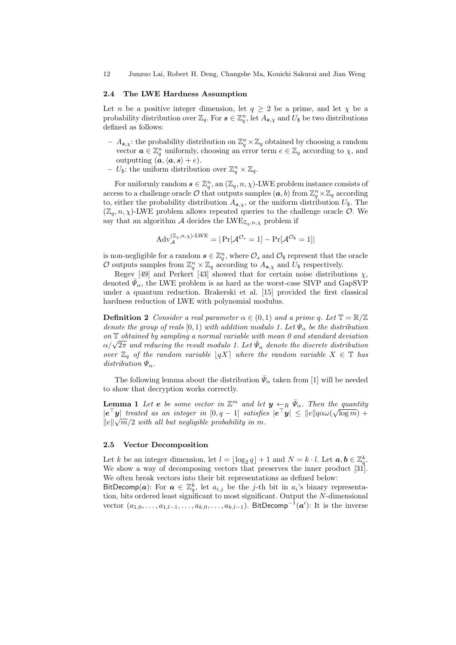#### **2.4 The LWE Hardness Assumption**

Let *n* be a positive integer dimension, let  $q \geq 2$  be a prime, and let  $\chi$  be a probability distribution over  $\mathbb{Z}_q$ . For  $s \in \mathbb{Z}_q^n$ , let  $A_{s,\chi}$  and  $U_s$  be two distributions defined as follows:

- $A_{s,x}$ : the probability distribution on  $\mathbb{Z}_q^n \times \mathbb{Z}_q$  obtained by choosing a random vector  $\boldsymbol{a} \in \mathbb{Z}_q^n$  uniformly, choosing an error term  $e \in \mathbb{Z}_q$  according to  $\chi$ , and outputting  $(a, \langle a, s \rangle + e)$ .
- $-$  *U*<sub>\$</sub>: the uniform distribution over  $\mathbb{Z}_q^n \times \mathbb{Z}_q$ .

For uniformly random  $s \in \mathbb{Z}_q^n$ , an  $(\mathbb{Z}_q, n, \chi)$ -LWE problem instance consists of  $\alpha$ , access to a challenge oracle  $\mathcal O$  that outputs samples  $(a, b)$  from  $\mathbb Z_q^n\times\mathbb Z_q$  according to, either the probability distribution  $A_{s,x}$ , or the uniform distribution  $U_{\$}$ . The  $(\mathbb{Z}_q, n, \chi)$ -LWE problem allows repeated queries to the challenge oracle  $\mathcal{O}$ . We say that an algorithm *A* decides the LWE<sub> $\mathbb{Z}_q$ *,n,x* problem if</sub>

$$
Adv_{\mathcal{A}}^{(\mathbb{Z}_q,n,\chi)\text{-LWE}} = | \Pr[\mathcal{A}^{\mathcal{O}_s} = 1] - \Pr[\mathcal{A}^{\mathcal{O}_s} = 1] |
$$

is non-negligible for a random  $s \in \mathbb{Z}_q^n$ , where  $\mathcal{O}_s$  and  $\mathcal{O}_s$  represent that the oracle *O* outputs samples from  $\mathbb{Z}_q^n \times \mathbb{Z}_q$  according to  $A_{s,\chi}$  and  $U_{\$}$  respectively.

Regev [49] and Perkert [43] showed that for certain noise distributions  $\chi$ , denoted  $\bar{\Psi}_{\alpha}$ , the LWE problem is as hard as the worst-case SIVP and GapSVP under a quantum reduction. Brakerski et al. [15] provided the first classical hardness reduction of LWE with polynomial modulus.

**Definition 2** *Consider a real parameter*  $\alpha \in (0,1)$  *and a prime q. Let*  $\mathbb{T} = \mathbb{R}/\mathbb{Z}$ *denote the group of reals* [0, 1) *with addition modulo 1. Let*  $\Psi_{\alpha}$  *be the distribution on* T *obtained by sampling a normal variable with mean 0 and standard deviation*  $\alpha/\sqrt{2\pi}$  and reducing the result modulo 1. Let  $\bar{\Psi}_{\alpha}$  denote the discrete distribution  $\alpha/\sqrt{2\pi}$  and reducing the result modulo 1. Let  $\bar{\Psi}_{\alpha}$  denote the discrete distribution *over*  $\mathbb{Z}_q$  *of the random variable*  $|qX|$  *where the random variable*  $X \in \mathbb{T}$  *has*  $distriolution \Psi_{\alpha}$ .

The following lemma about the distribution  $\bar{\Psi}_{\alpha}$  taken from [1] will be needed to show that decryption works correctly.

**Lemma 1** *Let e be some vector in*  $\mathbb{Z}^m$  *and let*  $y \leftarrow_R \bar{\Psi}_\alpha$ . Then the quantity  $\frac{1}{2}$  *e*<sup> $>$ </sup> *y*<sub>*|*</sub> *treated as an integer in*  $[0, q - 1]$  *satisfies*  $|e^{\cdot} y| \leq |e| | q \alpha \omega (\sqrt{\log m}) +$  $\|e\|\sqrt{m}/2$  *with all but negligible probability in m.* 

#### **2.5 Vector Decomposition**

Let *k* be an integer dimension, let  $l = \lfloor \log_2 q \rfloor + 1$  and  $N = k \cdot l$ . Let  $a, b \in \mathbb{Z}_q^k$ . We show a way of decomposing vectors that preserves the inner product [31]. We often break vectors into their bit representations as defined below:

BitDecomp(*a*): For  $a \in \mathbb{Z}_q^k$ , let  $a_{i,j}$  be the *j*-th bit in  $a_i$ 's binary representation, bits ordered least significant to most significant. Output the *N*-dimensional vector (*a*1*,*0*, . . . , a*1*,l−*<sup>1</sup>*, . . . , ak,*0*, . . . , ak,l−*<sup>1</sup>). BitDecomp*−*<sup>1</sup> (*a ′* ): It is the inverse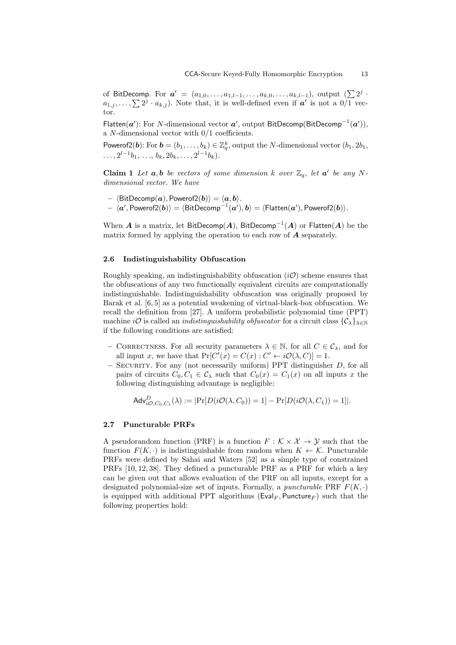of BitDecomp. For  $a' = (a_{1,0}, \ldots, a_{1,l-1}, \ldots, a_{k,0}, \ldots, a_{k,l-1}),$  output (∑2<sup>*j*</sup> · **a**<br> *cCA-Secure Keyed-Fully Homomorphic Encryption***<br>
<b>a** *i*<sub>*a*</sup><sub>*i*</sub>*j*, ...,  $\sum 2^j \cdot a_{k,j}$ . Note that, it is well-defined even if *a* is not a 0*/*1 vec-</sub> tor.

Flatten(*a ′* ): For *N*-dimensional vector *a ′* , output BitDecomp(BitDecomp*−*<sup>1</sup> (*a ′* )), a *N*-dimensional vector with 0/1 coefficients.

Powerof2(*b*): For  $\boldsymbol{b} = (b_1, \ldots, b_k) \in \mathbb{Z}_q^k$ , output the *N*-dimensional vector  $(b_1, 2b_1,$  $\ldots$ ,  $2^{l-1}b_1$ ,  $\ldots$ ,  $b_k$ ,  $2b_k$ ,  $\ldots$ ,  $2^{l-1}b_k$ ).

**Claim 1** Let  $a, b$  be vectors of some dimension  $k$  over  $\mathbb{Z}_q$ , let  $a'$  be any N*dimensional vector. We have*

- $\langle$ BitDecomp $(a)$ , Powerof2 $(b)$  $\rangle = \langle a, b \rangle$ .
- $-\langle a',\mathsf{Powerof2}(\boldsymbol{b})\rangle = \langle \mathsf{BitDecomp}^{-1}(\boldsymbol{a}'),\boldsymbol{b}\rangle = \langle \mathsf{Flatten}(\boldsymbol{a}'),\mathsf{Powerof2}(\boldsymbol{b})\rangle.$

When *A* is a matrix, let BitDecomp(*A*), BitDecomp*−*<sup>1</sup> (*A*) or Flatten(*A*) be the matrix formed by applying the operation to each row of *A* separately.

#### **2.6 Indistinguishability Obfuscation**

Roughly speaking, an indistinguishability obfuscation (*iO*) scheme ensures that the obfuscations of any two functionally equivalent circuits are computationally indistinguishable. Indistinguishability obfuscation was originally proposed by Barak et al. [6, 5] as a potential weakening of virtual-black-box obfuscation. We recall the definition from [27]. A uniform probabilistic polynomial time (PPT) machine *i***O** is called an *indistinguishability obfuscator* for a circuit class  $\{\mathcal{C}_\lambda\}_{\lambda \in \mathbb{N}}$ if the following conditions are satisfied:

- $−$  CORRECTNESS. For all security parameters  $λ ∈ ℕ$ , for all  $C ∈ C<sub>λ</sub>$ , and for all input *x*, we have that  $Pr[C'(x) = C(x) : C' \leftarrow i\mathcal{O}(\lambda, C)] = 1$ .
- **–** Security. For any (not necessarily uniform) PPT distinguisher *D*, for all pairs of circuits  $C_0, C_1 \in \mathcal{C}_\lambda$  such that  $C_0(x) = C_1(x)$  on all inputs x the following distinguishing advantage is negligible:

$$
\mathsf{Adv}_{i\mathcal{O},C_0,C_1}^D(\lambda) := |\Pr[D(i\mathcal{O}(\lambda,C_0))=1] - \Pr[D(i\mathcal{O}(\lambda,C_1))=1]|.
$$

#### **2.7 Puncturable PRFs**

A pseudorandom function (PRF) is a function  $F : \mathcal{K} \times \mathcal{X} \to \mathcal{Y}$  such that the function  $F(K, \cdot)$  is indistinguishable from random when  $K \leftarrow \mathcal{K}$ . Puncturable PRFs were defined by Sahai and Waters [52] as a simple type of constrained PRFs [10, 12, 38]. They defined a puncturable PRF as a PRF for which a key can be given out that allows evaluation of the PRF on all inputs, except for a designated polynomial-size set of inputs. Formally, a *puncturable* PRF  $F(K, \cdot)$ is equipped with additional PPT algorithms (Eval<sub>F</sub>, Puncture<sub>F</sub>) such that the following properties hold: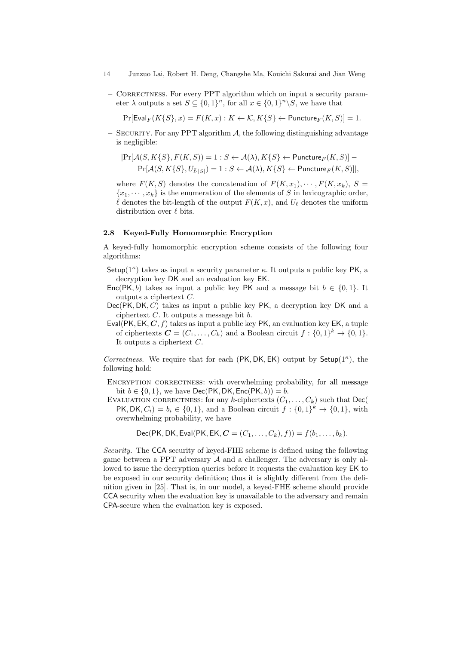- 14 Junzuo Lai, Robert H. Deng, Changshe Ma, Kouichi Sakurai and Jian Weng
	- **–** Correctness. For every PPT algorithm which on input a security parameter  $\lambda$  outputs a set  $S \subseteq \{0,1\}^n$ , for all  $x \in \{0,1\}^n \backslash S$ , we have that

 $Pr[Eval_F(K\{S\}, x) = F(K, x) : K \leftarrow \mathcal{K}, K\{S\} \leftarrow$  Puncture<sub>*F*</sub> $(K, S)$ ] = 1*.* 

 $-$  SECURITY. For any PPT algorithm  $A$ , the following distinguishing advantage is negligible:

$$
Pr[\mathcal{A}(S, K\{S\}, F(K, S)) = 1 : S \leftarrow \mathcal{A}(\lambda), K\{S\} \leftarrow \text{Puncture}_F(K, S)] -
$$
  

$$
Pr[\mathcal{A}(S, K\{S\}, U_{\bar{\ell} \cdot |S|}) = 1 : S \leftarrow \mathcal{A}(\lambda), K\{S\} \leftarrow \text{Puncture}_F(K, S)]|,
$$

where  $F(K, S)$  denotes the concatenation of  $F(K, x_1), \cdots, F(K, x_k), S =$  ${x_1, \dots, x_k}$  is the enumeration of the elements of *S* in lexicographic order,  $\ell$  denotes the bit-length of the output  $F(K, x)$ , and  $U_{\ell}$  denotes the uniform distribution over *ℓ* bits.

# **2.8 Keyed-Fully Homomorphic Encryption**

A keyed-fully homomorphic encryption scheme consists of the following four algorithms:

- Setup( $1^{\kappa}$ ) takes as input a security parameter  $\kappa$ . It outputs a public key PK, a decryption key DK and an evaluation key EK.
- Enc(PK, b) takes as input a public key PK and a message bit  $b \in \{0, 1\}$ . It outputs a ciphertext *C*.
- Dec(PK*,* DK*, C*) takes as input a public key PK, a decryption key DK and a ciphertext *C*. It outputs a message bit *b*.
- Eval(PK*,* EK*, C, f*) takes as input a public key PK, an evaluation key EK, a tuple of ciphertexts  $\mathbf{C} = (C_1, \ldots, C_k)$  and a Boolean circuit  $f: \{0,1\}^k \to \{0,1\}$ . It outputs a ciphertext *C*.

*Correctness.* We require that for each (PK*,* DK*,* EK) output by Setup(1*<sup>κ</sup>* ), the following hold:

- ENCRYPTION CORRECTNESS: with overwhelming probability, for all message  $b$ it *b* ∈ {0, 1}, we have Dec(PK, DK, Enc(PK, *b*)) = *b*.
- EVALUATION CORRECTNESS: for any *k*-ciphertexts  $(C_1, \ldots, C_k)$  such that Dec(  $PK, DK, C_i) = b_i \in \{0, 1\}$ , and a Boolean circuit  $f: \{0, 1\}^k \to \{0, 1\}$ , with overwhelming probability, we have

Dec(PK, DK, Eval(PK, EK, 
$$
C = (C_1, ..., C_k), f
$$
)) =  $f(b_1, ..., b_k)$ .

*Security.* The CCA security of keyed-FHE scheme is defined using the following game between a PPT adversary *A* and a challenger. The adversary is only allowed to issue the decryption queries before it requests the evaluation key EK to be exposed in our security definition; thus it is slightly different from the definition given in [25]. That is, in our model, a keyed-FHE scheme should provide CCA security when the evaluation key is unavailable to the adversary and remain CPA-secure when the evaluation key is exposed.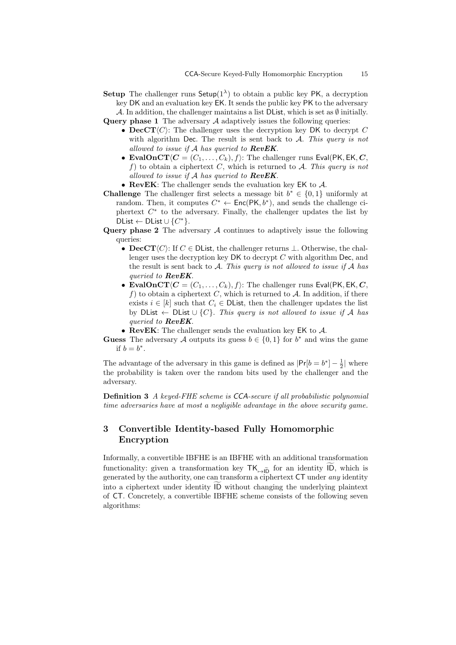**Setup** The challenger runs  $\mathsf{Setup}(1^{\lambda})$  to obtain a public key PK, a decryption key DK and an evaluation key EK. It sends the public key PK to the adversary *A*. In addition, the challenger maintains a list DList, which is set as *∅* initially.

**Query phase 1** The adversary *A* adaptively issues the following queries:

- *•* **DecCT***⟨C⟩*: The challenger uses the decryption key DK to decrypt *C* with algorithm Dec. The result is sent back to *A*. *This query is not allowed to issue if A has queried to RevEK*.
- **EvalOnCT** $\langle C = (C_1, \ldots, C_k), f \rangle$ : The challenger runs Eval(PK, EK, *C*, *f*) to obtain a ciphertext *C*, which is returned to *A*. *This query is not allowed to issue if A has queried to RevEK*.
- *•* **RevEK**: The challenger sends the evaluation key EK to *A*.
- **Challenge** The challenger first selects a message bit  $b$ <sup>\*</sup> ∈ {0,1} uniformly at random. Then, it computes  $C^* \leftarrow \mathsf{Enc}(\mathsf{PK}, b^*)$ , and sends the challenge ciphertext  $C^*$  to the adversary. Finally, the challenger updates the list by  $\mathsf{DList} \leftarrow \mathsf{DList} \cup \{C^*\}.$
- **Query phase 2** The adversary *A* continues to adaptively issue the following queries:
	- *•* **DecCT***⟨C⟩*: If *C ∈* DList, the challenger returns *⊥*. Otherwise, the challenger uses the decryption key DK to decrypt *C* with algorithm Dec, and the result is sent back to *A*. *This query is not allowed to issue if A has queried to RevEK*.
	- **EvalOnCT** $\langle C = (C_1, \ldots, C_k), f \rangle$ : The challenger runs Eval(PK, EK, *C*,  $f$ ) to obtain a ciphertext *C*, which is returned to  $A$ . In addition, if there exists  $i \in [k]$  such that  $C_i \in \text{DList}$ , then the challenger updates the list by DList *←* DList *∪ {C}*. *This query is not allowed to issue if A has queried to RevEK*.
	- *•* **RevEK**: The challenger sends the evaluation key EK to *A*.

**Guess** The adversary *A* outputs its guess  $b \in \{0, 1\}$  for  $b^*$  and wins the game if  $b = b^*$ .

The advantage of the adversary in this game is defined as  $|Pr[b = b^*] - \frac{1}{2}|$  where the probability is taken over the random bits used by the challenger and the adversary.

**Definition 3** *A keyed-FHE scheme is CCA-secure if all probabilistic polynomial time adversaries have at most a negligible advantage in the above security game.*

# **3 Convertible Identity-based Fully Homomorphic Encryption**

Informally, a convertible IBFHE is an IBFHE with an additional transformation **Functionally:** given a transformation key TK<sub>7</sub><sup>ID</sup>, for an identity  $\overline{D}$ , which is functionality: given a transformation key  $\overline{K}_{\overline{D}}$  for an identity  $\overline{D}$ , which is generated by the authority, one can transform a ciphertext CT under *any* identity Informally, a convertible IBFHE is an IBFHE with an additional transformation<br>functionality: given a transformation key  $TK_{\rightarrow \tilde{ID}}$  for an identity  $\tilde{ID}$ , which is<br>generated by the authority, one can transform a ciphe of CT. Concretely, a convertible IBFHE scheme consists of the following seven algorithms: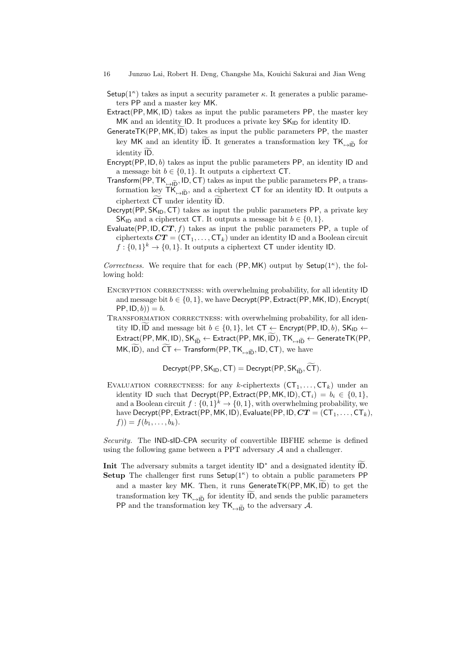- Setup( $1^{\kappa}$ ) takes as input a security parameter  $\kappa$ . It generates a public parameters PP and a master key MK.
- Extract(PP*,* MK*,* ID) takes as input the public parameters PP, the master key MK and an identity ID. It produces a private key  $SK<sub>ID</sub>$  for identity ID. Setup(1<sup>n</sup>) takes as input a security parameter  $\kappa$ . It generates a public parameters PP and a master key MK.<br>Extract(PP, MK, ID) takes as input the public parameters PP, the master key MK and an identity ID. It produce
- ters FF and a master key MK.<br>
tract(PP, MK, ID) takes as input the public parameters PP, the master key MK and an identity ID. It produces a private key SK<sub>ID</sub> for identity ID.<br>
nerateTK(PP, MK, ID) takes as input the pub iden(i.e., i.e.<br>MK and an<br>nerateTK(P<br>key MK an<br>identity ID.
- Encrypt(PP*,* ID*, b*) takes as input the public parameters PP, an identity ID and a message bit  $b \in \{0, 1\}$ . It outputs a ciphertext CT.
- Transform(PP, TK<sub>7+</sub> $\tilde{p}$ , ID, CT) takes as input the public parameters PP, a transformation key  $\widetilde{\mathsf{TK}}_{\mapsto \widetilde{\mathsf{ID}}}$ , and a ciphertext  $\mathsf{CT}$  for an identity ID. It outputs a ciphertext  $\widetilde{\mathsf{CT}}$  under identity  $\widetilde{\mathsf{ID}}$ . crypt(PP, ID, 0) takes as input the a message bit  $b \in \{0, 1\}$ . It outpins<br>form(PP, TK<sub>p</sub>, ID, CT) takes<br>formation key TK<sub>p</sub><sub>ID</sub>, and a cip<br>ciphertext  $\widetilde{CT}$  under identity ID.
- Decrypt(PP, SK<sub>ID</sub>, CT) takes as input the public parameters PP, a private key SK<sub>ID</sub> and a ciphertext CT. It outputs a message bit  $b \in \{0, 1\}$ .
- Evaluate(PP, ID,  $CT, f$ ) takes as input the public parameters PP, a tuple of ciphertexts  $CT = (CT_1, \ldots, CT_k)$  under an identity ID and a Boolean circuit  $f: \{0,1\}^k \to \{0,1\}$ . It outputs a ciphertext CT under identity ID.

*Correctness.* We require that for each (PP*,* MK) output by Setup(1*<sup>κ</sup>* ), the following hold:

- ENCRYPTION CORRECTNESS: with overwhelming probability, for all identity ID and message bit *b ∈ {*0*,* 1*}*, we have Decrypt(PP*,* Extract(PP*,* MK*,* ID)*,* Encrypt(  $PP$ ,  $ID, b$ ) = *b*. fickly ID,  $b \in \{0, 1\}$ , we have Decrypt(PP, Extract(PP, MK, ID), Encrypt<br>
PP, ID,  $b$ )) =  $b$ .<br>
(ANSFORMATION CORRECTNESS: with overwhelming probability, for all iden-<br>
tity ID,  $\widetilde{ID}$  and message bit  $b \in \{0, 1\}$ ,
- TRANSFORMATION CORRECTNESS: with overwhelming probability, for all iden-Extract(PP, MK, ID), SK<sub>ID</sub>  $\leftarrow$  Extract(PP, MK, ID, Extract(PP, MK, ID), Encrypt(PP, ID, b)) = b.<br>
EXANSFORMATION CORRECTNESS: with overwhelming probability, for all identity ID,  $\widehat{ID}$  and message bit  $b \in \{0, 1\}$ , MANSFORMATION CORRECTNESS: with overwhelming probaby tity ID,  $\overline{1D}$  and message bit  $b \in \{0, 1\}$ , let  $CT \leftarrow \text{Encrypt}(P$ <br>Extract(PP, MK, ID), SK<sub>ID</sub>  $\leftarrow$  Extract(PP, MK, ID), TK<sub><sub> $\rightarrow \overline{1D}} \leftarrow$ MK, ID), and  $\overline{CT} \leftarrow$  Tr</sub></sub> tity ID, ID and message bit  $b \in \{0, 1\}$ , let  $CT \leftarrow$  Encrypt(PP, ID, b), SK<sub>ID</sub>  $\leftarrow$ <br>Extract(PP, MK, ID), SK<sub>ID</sub>  $\leftarrow$  Extract(PP, MK, ID), TK<sub><sub>1+ID</sub>  $\leftarrow$  GenerateTK(PP<br>MK, ID), and  $\widetilde{CT} \leftarrow$  Transform(PP, TK<sub><sub>1+ID</sub></sub></sub>

EVALUATION CORRECTNESS: for any *k*-ciphertexts  $(CT_1, \ldots, CT_k)$  under an identity ID such that Decrypt(PP, Extract(PP, MK, ID),  $CT_i$ ) =  $b_i \in \{0, 1\}$ , and a Boolean circuit  $f: \{0,1\}^k \to \{0,1\}$ , with overwhelming probability, we have Decrypt(PP, Extract(PP, MK, ID), Evaluate(PP, ID,  $CT = (CT_1, \ldots, CT_k)$ , *f*)) = *f*(*b*1*, . . . , bk*).

*Security.* The IND-sID-CPA security of convertible IBFHE scheme is defined using the following game between a PPT adversary *A* and a challenger. ble IBFHE scheme is defined<br>y  $A$  and a challenger.<br>and a designated identity  $\widetilde{ID}$ .

**Init** The adversary submits a target identity ID*<sup>∗</sup>* **Setup** The challenger first runs Setup(1*<sup>κ</sup>* ) to obtain a public parameters PP and a challenger.<br>
For a master submits a target identity  $\mathsf{ID}^*$  and a designated identity  $\widetilde{\mathsf{ID}}$ .<br> **a** The challenger first runs  $\mathsf{Setup}(1^{\kappa})$  to obtain a public parameters PP and a master key MK. Then, it run The adversary submits a target identity  $ID^*$  and a designated identity  $\widetilde{ID}$ .<br> **up** The challenger first runs Setup( $1^{\kappa}$ ) to obtain a public parameters PP<br>
and a master key MK. Then, it runs GenerateTK(PP, MK,  $\$ PP and the transformation key  $TK_{\rightarrow \tilde{D}}$  to the adversary *A*.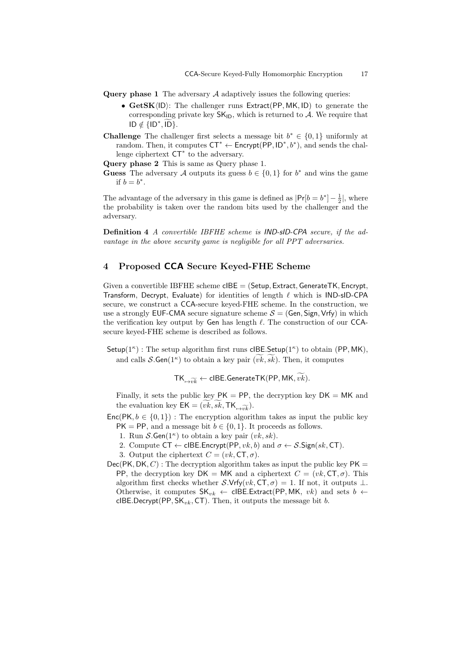- **Query phase 1** The adversary *A* adaptively issues the following queries:
- *•* **GetSK***⟨*ID*⟩*: The challenger runs Extract(PP*,* MK*,* ID) to generate the corresponding private key  $SK_{ID}$ , which is returned to  $A$ . We require that ID *∈ { /* ID*<sup>∗</sup> The*<br>*D*): *T*<br>*ding*<br>*, ID}*.
- **Challenge** The challenger first selects a message bit  $b$ <sup>\*</sup> ∈ {0,1} uniformly at random. Then, it computes CT*<sup>∗</sup> ←* Encrypt(PP*,* ID*<sup>∗</sup> , b<sup>∗</sup>* ), and sends the challenge ciphertext CT*<sup>∗</sup>* to the adversary.

**Query phase 2** This is same as Query phase 1.

**Guess** The adversary *A* outputs its guess  $b \in \{0, 1\}$  for  $b^*$  and wins the game if  $b = b^*$ .

The advantage of the adversary in this game is defined as  $|Pr[b = b^*] - \frac{1}{2}|$ , where the probability is taken over the random bits used by the challenger and the adversary.

**Definition 4** *A convertible IBFHE scheme is IND-sID-CPA secure, if the advantage in the above security game is negligible for all PPT adversaries.*

# **4 Proposed CCA Secure Keyed-FHE Scheme**

Given a convertible IBFHE scheme cIBE = (Setup*,* Extract*,*GenerateTK*,* Encrypt, Transform, Decrypt, Evaluate) for identities of length *ℓ* which is IND-sID-CPA secure, we construct a CCA-secure keyed-FHE scheme. In the construction, we use a strongly EUF-CMA secure signature scheme  $S = (Gen, Sign, Vrfy)$  in which the verification key output by Gen has length *ℓ*. The construction of our CCAsecure keyed-FHE scheme is described as follows.

Setup(1*<sup>κ</sup>* ) : The setup algorithm first runs cIBE*.*Setup(1*<sup>κ</sup>* ) to obtain (PP*,* MK), and calls *S***.Gen**( $1^{\kappa}$ ) to obtain a key pair  $(vk, sk)$ . Then, it computes tput by Gen has length  $\ell$ . The construction of our<br>
eme is described as follows.<br>
(algorithm first runs clBE.Setup( $1^{\kappa}$ ) to obtain ( $P$ )<br>
(b) to obtain a key pair  $(\widetilde{vk}, \widetilde{sk})$ . Then, it computes

 $TK_{\mapsto \widetilde{vk}} \leftarrow \mathsf{clBE}.\mathsf{GenerateTK}(\mathsf{PP}, \mathsf{MK}, \widetilde{vk}).$ 

Finally, it sets the public key  $PK = PP$ , the decryption key  $DK = MK$  and the evaluation key  $EK = (vk, sk, TK_{\overline{v_k}}).$ 

- $Enc(PK, b \in \{0, 1\})$ : The encryption algorithm takes as input the public key  $PK = PP$ , and a message bit  $b \in \{0, 1\}$ . It proceeds as follows.
	- 1. Run  $\mathcal{S}\mathsf{Gen}(1^{\kappa})$  to obtain a key pair  $(vk, sk)$ .
	- 2. Compute  $CT \leftarrow \text{clBE}$ *.* Encrypt(PP*, vk, b*) and  $\sigma \leftarrow S$ *.*Sign(*sk,* CT).

3. Output the ciphertext  $C = (vk, \text{CT}, \sigma)$ .

 $Dec(PK, DK, C)$ : The decryption algorithm takes as input the public key  $PK =$ PP, the decryption key  $DK = MK$  and a ciphertext  $C = (vk, CT, \sigma)$ . This algorithm first checks whether *S.*Vrfy( $vk$ , CT,  $\sigma$ ) = 1. If not, it outputs  $\perp$ . Otherwise, it computes  $SK_{vk} \leftarrow$  cIBE.Extract(PP, MK, *vk*) and sets *b*  $\leftarrow$ cIBE*.*Decrypt(PP*,* SK*vk,* CT). Then, it outputs the message bit *b*.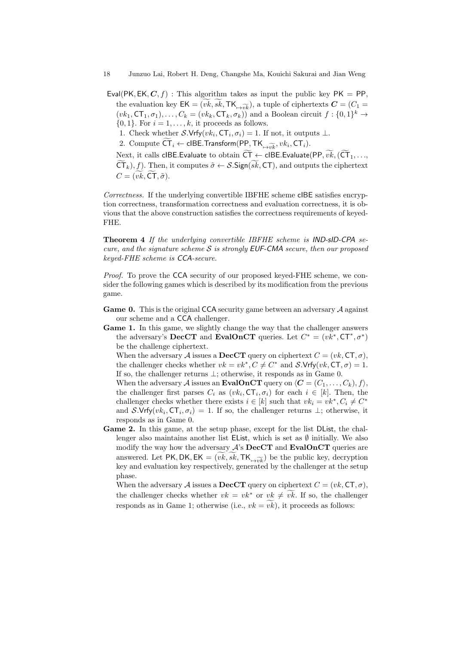- Eval(PK, EK,  $C, f$ ): This algorithm takes as input the public key PK = PP, the evaluation key  $EK = (\widetilde{vk}, \widetilde{sk}, \text{TK}_{\overline{vk}}, \widetilde{vk})$ , a tuple of ciphertexts  $\mathbf{C} = (C_1 =$  $(vk_1, \text{CT}_1, \sigma_1), \ldots, C_k = (vk_k, \text{CT}_k, \sigma_k))$  and a Boolean circuit  $f: \{0, 1\}^k \to$  $\{0, 1\}$ . For  $i = 1, \ldots, k$ , it proceeds as follows.  $\{0, 1\}$ . For  $i = 1, ..., k$ , it proceeds as follows.<br>
1. Check whether *S*.Vrfy( $vk_i$ , CT<sub>*i*</sub>,  $\sigma_i$ ) = 1. If not, it outputs ⊥.<br>
2. Compute  $\widetilde{CT}_i$  ← cIBE.Transform(PP, TK<sub>→ $\widetilde{vk}_i$ </sub>,  $vk_i$ , CT<sub>*i*</sub>).<br>
Next, it calls
	- 1. Check whether  $\mathcal{S}$ *.*Vrfy $(vk_i, \mathsf{CT}_i, \sigma_i) = 1$ . If not, it outputs  $\perp$ *.*
	-
	- $(vk_1, CT_1, \sigma_1), \ldots, C_k = (vk_k, CT_k, \sigma_k))$  and a Boolean circ  $\{0, 1\}$ . For  $i = 1, \ldots, k$ , it proceeds as follows.<br>
	1. Check whether *S*.Vrfy $(vk_i, CT_i, \sigma_i) = 1$ . If not, it outp<br>
	2. Compute  $\overline{CT}_i \leftarrow \text{clBE}.\text{Transfer}(PP, TK_{\mapsto \widehat{vk}}, vk_i, CT_i)$ 1. Check whether *S*.Vrfy(*vk<sub>i</sub>*, CT<sub>*i*</sub>, *σ<sub><i>i*</sub>) = 1. If not, it outputs ⊥.<br>2. Compute  $\widetilde{CT}_i$  ← clBE.Transform(PP, TK<sub>→*ννδκ,*</sub> *vk<sub>i</sub>*, CT<sub>*i*</sub>).<br>Next, it calls clBE.Evaluate to obtain  $\widetilde{CT}$  ← clBE.Evaluat

*Correctness.* If the underlying convertible IBFHE scheme cIBE satisfies encryption correctness, transformation correctness and evaluation correctness, it is obvious that the above construction satisfies the correctness requirements of keyed-FHE.

**Theorem 4** *If the underlying convertible IBFHE scheme is IND-sID-CPA secure, and the signature scheme S is strongly EUF-CMA secure, then our proposed keyed-FHE scheme is CCA-secure.*

*Proof.* To prove the CCA security of our proposed keyed-FHE scheme, we consider the following games which is described by its modification from the previous game.

- **Game 0.** This is the original CCA security game between an adversary *A* against our scheme and a CCA challenger.
- Game 1. In this game, we slightly change the way that the challenger answers the adversary's **DecCT** and **EvalOnCT** queries. Let  $C^* = (vk^*, \text{CT}^*, \sigma^*)$ be the challenge ciphertext.

When the adversary *A* issues a **DecCT** query on ciphertext  $C = (vk, \text{CT}, \sigma)$ , the challenger checks whether  $vk = vk^*$ ,  $C \neq C^*$  and  $S$ *.*Vrfy $(vk, \text{CT}, \sigma) = 1$ . If so, the challenger returns *⊥*; otherwise, it responds as in Game 0.

When the adversary *A* issues an **EvalOnCT** query on  $\langle C = (C_1, \ldots, C_k), f \rangle$ , the challenger first parses  $C_i$  as  $(vk_i, \text{CT}_i, \sigma_i)$  for each  $i \in [k]$ . Then, the challenger checks whether there exists  $i \in [k]$  such that  $vk_i = vk^*, C_i \neq C^*$ and *S*.Vrfy( $vk_i$ ,  $CT_i$ ,  $\sigma_i$ ) = 1. If so, the challenger returns  $\perp$ ; otherwise, it responds as in Game 0.

Game 2. In this game, at the setup phase, except for the list DList, the challenger also maintains another list EList, which is set as  $\emptyset$  initially. We also modify the way how the adversary *A*'s **DecCT** and **EvalOnCT** queries are answered. Let PK, DK,  $EK = (vk, sk, TK_{\rightarrow \widetilde{vk}})$  be the public key, decryption key and evaluation key respectively, generated by the challenger at the setup phase. the challenger checks whether  $vk = (vk, sk, \mathsf{TK}_{\rightarrow \widetilde{vk}})$  be the public key, decryption<br>key and evaluation key respectively, generated by the challenger at the setup<br>phase.<br>When the adversary A issues a **DecCT** query on cip

When the adversary  $\mathcal A$  issues a **DecCT** query on ciphertext  $C = (vk, \mathsf{CT}, \sigma)$ , the challenger checks whether  $vk = vk^*$  or  $vk \neq vk$ . If so, the challenger responds as in Game 1; otherwise (i.e.,  $vk = v\hat{k}$ ), it proceeds as follows: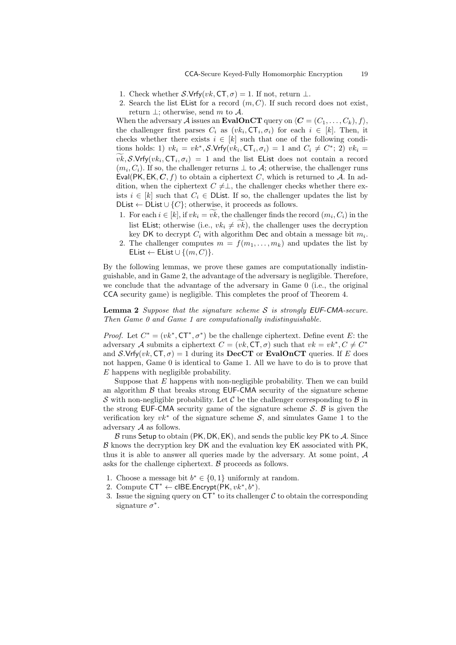- 1. Check whether  $\mathcal{S}$ *.*Vrfy( $vk$ ,  $CT, \sigma$ ) = 1. If not, return  $\bot$ .
- 2. Search the list EList for a record  $(m, C)$ . If such record does not exist, return *⊥*; otherwise, send *m* to *A*.

When the adversary *A* issues an **EvalOnCT** query on  $\langle C = (C_1, \ldots, C_k), f \rangle$ , the challenger first parses  $C_i$  as  $(vk_i, \mathsf{CT}_i, \sigma_i)$  for each  $i \in [k]$ . Then, it checks whether there exists  $i \in [k]$  such that one of the following conditions holds: 1)  $vk_i = vk^*, \mathcal{S}.\mathsf{Vrfy}(vk_i, \mathsf{CT}_i, \sigma_i) = 1$  and  $C_i \neq C^*$ ; 2)  $vk_i =$ *v* hen the advector the challenge checks wheth tions holds: 1<br>*vk*, *S*.Vrfy(*vk*<sub>*i*</sub>  $\mathcal{C}(\mathsf{T}_i, \sigma_i) = 1$  and the list Elist does not contain a record  $(m_i, C_i)$ . If so, the challenger returns  $\perp$  to  $\mathcal{A}$ ; otherwise, the challenger runs Eval(PK, EK,  $C, f$ ) to obtain a ciphertext  $C$ , which is returned to  $A$ . In addition, when the ciphertext  $C \neq \perp$ , the challenger checks whether there exists  $i \in [k]$  such that  $C_i \in \text{DList}$ . If so, the challenger updates the list by DList  $\leftarrow$  DList  $\cup \{C\}$ ; otherwise, it proceeds as follows.  $\mathbf{r} \times \mathbf{r} = \mathbf{r} \times \mathbf{r} \times \mathbf{r} \times \mathbf{r} \times \mathbf{r} \times \mathbf{r} \times \mathbf{r} \times \mathbf{r} \times \mathbf{r} \times \mathbf{r} \times \mathbf{r} \times \mathbf{r} \times \mathbf{r} \times \mathbf{r} \times \mathbf{r} \times \mathbf{r} \times \mathbf{r} \times \mathbf{r} \times \mathbf{r} \times \mathbf{r} \times \mathbf{r} \times \mathbf{r} \times \mathbf{r} \times \mathbf{r} \times \mathbf{r} \times \mathbf{$ list EList; otherwise, it proceeds as follows.<br>
For each  $i \in [k]$ , such that  $C_i \in$  DList. If so, the challenger updates the list by<br>  $\mathbf{t} \leftarrow \text{DList} \cup \{C\}$ ; otherwise, it proceeds as follows.<br>
For each  $i \in [k]$ , if  $vk_i$ 

- 1. For each  $i \in [k]$ , if  $vk_i = vk$ , the challenger finds the record  $(m_i, C_i)$  in the key DK to decrypt  $C_i$  with algorithm Dec and obtain a message bit  $m_i$ .
- 2. The challenger computes  $m = f(m_1, \ldots, m_k)$  and updates the list by  $\mathsf{EList} \leftarrow \mathsf{EList} \cup \{(m, C)\}.$

By the following lemmas, we prove these games are computationally indistinguishable, and in Game 2, the advantage of the adversary is negligible. Therefore, we conclude that the advantage of the adversary in Game 0 (i.e., the original CCA security game) is negligible. This completes the proof of Theorem 4.

**Lemma 2** *Suppose that the signature scheme S is strongly EUF-CMA-secure. Then Game 0 and Game 1 are computationally indistinguishable.*

*Proof.* Let  $C^* = (vk^*, \mathsf{CT}^*, \sigma^*)$  be the challenge ciphertext. Define event *E*: the adversary *A* submits a ciphertext  $C = (vk, \textsf{CT}, \sigma)$  such that  $vk = vk^*, C \neq C^*$ and *S*.Vrfy(*vk*,  $CT, \sigma$ ) = 1 during its **DecCT** or **EvalOnCT** queries. If *E* does not happen, Game 0 is identical to Game 1. All we have to do is to prove that *E* happens with negligible probability.

Suppose that *E* happens with non-negligible probability. Then we can build an algorithm  $\beta$  that breaks strong EUF-CMA security of the signature scheme *S* with non-negligible probability. Let  $\mathcal C$  be the challenger corresponding to  $\mathcal B$  in the strong EUF-CMA security game of the signature scheme *S*. *B* is given the verification key  $vk^*$  of the signature scheme  $S$ , and simulates Game 1 to the adversary *A* as follows.

*B* runs Setup to obtain (PK*,* DK*,* EK), and sends the public key PK to *A*. Since *B* knows the decryption key DK and the evaluation key EK associated with PK, thus it is able to answer all queries made by the adversary. At some point, *A* asks for the challenge ciphertext. *B* proceeds as follows.

- 1. Choose a message bit  $b^* \in \{0,1\}$  uniformly at random.
- 2. Compute  $CT^* \leftarrow \text{clBE}.\text{Encrypt}(\text{PK}, vk^*,b^*).$
- 3. Issue the signing query on  $CT^*$  to its challenger  $C$  to obtain the corresponding signature  $\sigma^*$ .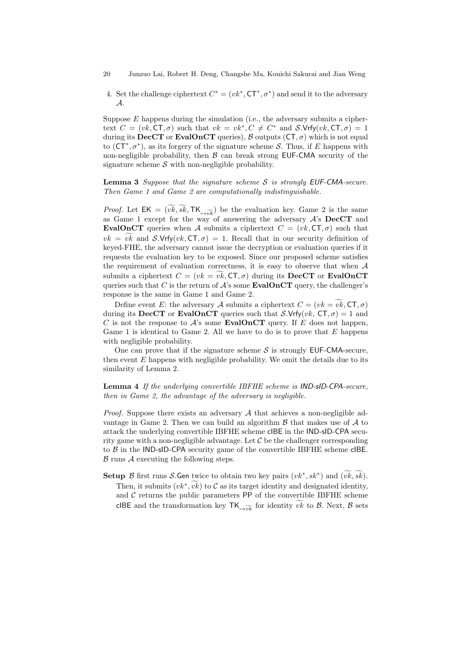4. Set the challenge ciphertext  $C^* = (vk^*, \mathsf{CT}^*, \sigma^*)$  and send it to the adversary *A*.

Suppose  $E$  happens during the simulation (i.e., the adversary submits a ciphertext  $C = (vk, \textsf{CT}, \sigma)$  such that  $vk = vk^*, C \neq C^*$  and  $\mathcal{S}.\textsf{Vrfy}(vk, \textsf{CT}, \sigma) = 1$ during its **DecCT** or **EvalOnCT** queries),  $\beta$  outputs ( $CT, \sigma$ ) which is not equal to (CT*<sup>∗</sup> , σ<sup>∗</sup>* ), as its forgery of the signature scheme *S*. Thus, if *E* happens with non-negligible probability, then  $\beta$  can break strong EUF-CMA security of the signature scheme  $S$  with non-negligible probability.

**Lemma 3** *Suppose that the signature scheme S is strongly EUF-CMA-secure. Then Game 1 and Game 2 are computationally indistinguishable.* **Lemma 3** Suppose that the signature scheme S is strongly EUF-CMA-secure.<br>Then Game 1 and Game 2 are computationally indistinguishable.<br>*Proof.* Let  $EK = (\widetilde{vk}, \widetilde{sk}, TK_{\overline{vk}})$  be the evaluation key. Game 2 is the same

as Game 1 except for the way of answering the adversary *A*'s **DecCT** and **EvalOnCT** queries when *A* submits a ciphertext  $C = (vk, \text{CT}, \sigma)$  such that *Proof.* Let  $EK = (\widetilde{vk}, \widetilde{sk}, TK_{\mapsto \widetilde{vk}})$  be the evaluation key. Game 2 is the same as Game 1 except for the way of answering the adversary  $\mathcal{A}$ 's **DecCT** and **EvalOnCT** queries when  $\mathcal{A}$  submits a ciphertext keyed-FHE, the adversary cannot issue the decryption or evaluation queries if it requests the evaluation key to be exposed. Since our proposed scheme satisfies the requirement of evaluation correctness, it is easy to observe that when *A*  $vk = vk$  and  $S.Vrty(vk, C1, \sigma) = 1$ . Recall that in our security definition of keyed-FHE, the adversary cannot issue the decryption or evaluation queries if it requests the evaluation key to be exposed. Since our proposed scheme queries such that *C* is the return of  $A$ 's some **EvalOnCT** query, the challenger's response is the same in Game 1 and Game 2. requirement or evaluation correctness, it is easy to observe that when *A* mits a ciphertext  $C = (vk = v\hat{k}, \text{CT}, \sigma)$  during its **DecCT** or **EvalOnCT** ries such that *C* is the return of *A*'s some **EvalOnCT** query, the chall

during its **DecCT** or **EvalOnCT** queries such that *S.*Vrfy(*vk*,  $CT, \sigma$ ) = 1 and *C* is not the response to  $A$ 's some **EvalOnCT** query. If  $E$  does not happen, Game 1 is identical to Game 2. All we have to do is to prove that *E* happens with negligible probability.

One can prove that if the signature scheme  $S$  is strongly EUF-CMA-secure, then event *E* happens with negligible probability. We omit the details due to its similarity of Lemma 2.

**Lemma 4** *If the underlying convertible IBFHE scheme is IND-sID-CPA-secure, then in Game 2, the advantage of the adversary is negligible.*

*Proof.* Suppose there exists an adversary *A* that achieves a non-negligible advantage in Game 2. Then we can build an algorithm *B* that makes use of *A* to attack the underlying convertible IBFHE scheme cIBE in the IND-sID-CPA security game with a non-negligible advantage. Let  $\mathcal C$  be the challenger corresponding to  $\beta$  in the IND-sID-CPA security game of the convertible IBFHE scheme cIBE. *B* runs *A* executing the following steps. **Setup** *B* first runs *S*.Gen twice to obtain two key pairs  $(vk^*, sk^*)$  and  $(\widetilde{vk}, \widetilde{sk})$ .<br>**Setup** *B* first runs *S*.Gen twice to obtain two key pairs  $(vk^*, sk^*)$  and  $(\widetilde{vk}, \widetilde{sk})$ .

Then, it submits  $(vk^*, vk)$  to C as its target identity and designated identity, security game of the convertible IBFHE scheme clBE.<br>
blowing steps.<br> *i* twice to obtain two key pairs  $(vk^*, sk^*)$  and  $(\widetilde{vk}, \widetilde{sk})$ .<br>  $,\widetilde{vk})$  to *C* as its target identity and designated identity, and  $C$  returns the public parameters  $PP$  of the convertible IBFHE scheme cIBE and the transformation key  $TK_{\rightarrow \widetilde{vk}}$  for identity *vk* to *B*. Next, *B* sets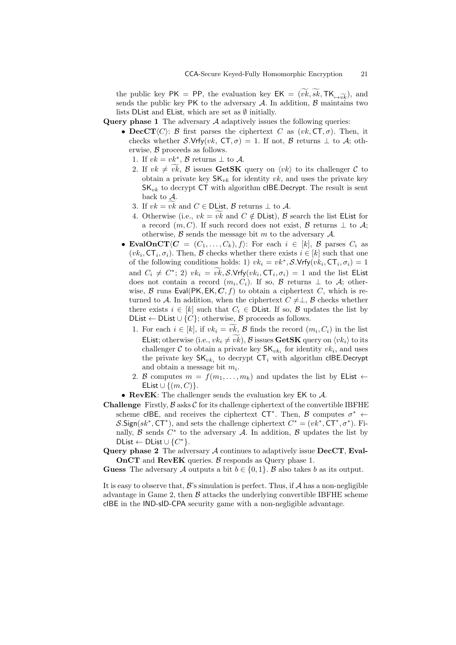the public key  $PK = PP$ , the evaluation key  $EK = (vk, sk, TK_{\overline{+}v\overline{k}})$ , and sends the public key PK to the adversary  $A$ . In addition,  $B$  maintains two lists DList and EList, which are set as *∅* initially.

**Query phase 1** The adversary *A* adaptively issues the following queries:

- **DecCT** $\langle C \rangle$ : *B* first parses the ciphertext *C* as  $(vk, \text{CT}, \sigma)$ . Then, it checks whether *S.*Vrfy(*vk*,  $CT, \sigma$ ) = 1. If not, *B* returns  $\perp$  to *A*; otherwise, *B* proceeds as follows. **2.** *vectoral vives vectorallely <i>vk***, <b>cT**,  $\sigma$  *j c x <i>x x x x x x x x x x x x x x x x x x x x x x x* 
	- 1. If  $vk = vk^*$ ,  $\beta$  returns  $\bot$  to  $\mathcal{A}$ .
	- obtain a private key  $\mathsf{SK}_{vk}$  for identity  $vk$ , and uses the private key SK*vk* to decrypt CT with algorithm cIBE*.*Decrypt. The result is sent back to *A*. 3. If  $vk \neq vk$ , *B* issues **GetSK** query on  $\langle vk \rangle$  obtain a private key  $SK_{vk}$  for identity  $vk$ , as  $SK_{vk}$  to decrypt CT with algorithm clBE.Dechack to  $A$ .<br>3. If  $vk = vk$  and  $C \in \text{DList}$ , *B* returns  $\perp$  to  $A$ . 6. Otherwise (i.e., *vk* =  $\widetilde{v}k$  and *C*  $\in$  DList, *B* returns  $\perp$  to *A*.<br>4. Otherwise (i.e., *vk* =  $\widetilde{v}k$  and *C*  $\notin$  DList, *B* returns  $\perp$  to *A*.
	-
	- a record  $(m, C)$ . If such record does not exist, *B* returns  $\perp$  to  $\mathcal{A}$ ; otherwise, *B* sends the message bit *m* to the adversary *A*.
- **EvalOnCT** $\langle C = (C_1, \ldots, C_k), f \rangle$ : For each  $i \in [k], \mathcal{B}$  parses  $C_i$  as  $(vk_i, \mathsf{CT}_i, \sigma_i)$ . Then,  $\mathcal B$  checks whether there exists  $i \in [k]$  such that one of the following conditions holds: 1)  $vk_i = vk^*, \mathcal{S}.\mathsf{Vrfy}(vk_i, \mathsf{CT}_i, \sigma_i) = 1$ and  $C_i \neq C^*$ ; 2)  $vk_i = vk$ ,  $\mathcal{S}$ . Vrfy $(vk_i, \mathsf{CT}_i, \sigma_i) = 1$  and the list EList  $\mathcal{C} = (C_1, \ldots, C_k), f$ : For Then, *B* checks whether<br>ag conditions holds: 1)  $vk$ <br> $i \geq 2$ ,  $vk_i = vk$ , *S*.Vrfy( $vk_i$ does not contain a record  $(m_i, C_i)$ . If so,  $\beta$  returns  $\bot$  to  $\mathcal{A}$ ; otherwise,  $\beta$  runs Eval(PK, EK,  $C, f$ ) to obtain a ciphertext  $C$ , which is returned to *A*. In addition, when the ciphertext  $C \neq \perp$ ,  $\beta$  checks whether there exists  $i \in [k]$  such that  $C_i \in \text{DList}$ . If so,  $\beta$  updates the list by DList  $\leftarrow$  DList *∪* {*C*}; otherwise, *B* proceeds as follows. *N* For each *i* ∈ [*k*], such that *C*<sub>*i*</sub> ∈ DList. If so, *B* updates the list by  $\mathcal{D}$ List ← DList ∪ {*C*}; otherwise, *B* proceeds as follows.<br>1. For each  $i \in [k]$ , if  $vk_i = \widetilde{vk}$ , *B* finds the record  $(m_i, C_i)$ 
	- EList; otherwise (i.e.,  $vk_i \neq v\bar{k}$ ), *B* issues **GetSK** query on  $\langle vk_i\rangle$  to its challenger  $C$  to obtain a private key  $SK_{vk_i}$  for identity  $vk_i$ , and uses the private key  $SK_{vk_i}$  to decrypt  $CT_i$  with algorithm cIBE.Decrypt and obtain a message bit *m<sup>i</sup>* .
	- 2. *B* computes  $m = f(m_1, \ldots, m_k)$  and updates the list by EList  $\leftarrow$ EList *∪ {*(*m, C*)*}*.
- *•* **RevEK**: The challenger sends the evaluation key EK to *A*.
- **Challenge** Firstly,  $\beta$  asks  $\mathcal C$  for its challenge ciphertext of the convertible IBFHE scheme cIBE, and receives the ciphertext  $CT^*$ . Then, *B* computes  $\sigma^*$   $\leftarrow$ *S*. Sign( $sk^*$ , CT<sup>\*</sup>), and sets the challenge ciphertext  $C^* = (vk^*, \text{CT}^*, \sigma^*)$ . Finally,  $\beta$  sends  $C^*$  to the adversary  $\mathcal A$ . In addition,  $\beta$  updates the list by  $DList \leftarrow DList \cup \{C^*\}.$
- **Query phase 2** The adversary *A* continues to adaptively issue **DecCT**, **Eval-OnCT** and **RevEK** queries. *B* responds as Query phase 1.

**Guess** The adversary *A* outputs a bit  $b \in \{0, 1\}$ . *B* also takes *b* as its output.

It is easy to observe that,  $\mathcal{B}$ 's simulation is perfect. Thus, if  $\mathcal{A}$  has a non-negligible advantage in Game 2, then  $\beta$  attacks the underlying convertible IBFHE scheme cIBE in the IND-sID-CPA security game with a non-negligible advantage.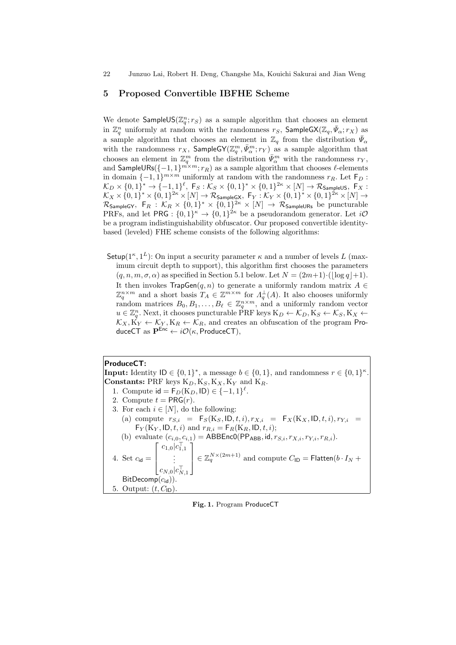# **5 Proposed Convertible IBFHE Scheme**

We denote  $\mathsf{SampleUS}(\mathbb{Z}_q^n; r_S)$  as a sample algorithm that chooses an element in  $\mathbb{Z}_q^n$  uniformly at random with the randomness  $r_S$ , SampleGX( $\mathbb{Z}_q$ ,  $\bar{\Psi}_{\alpha}; r_X$ ) as a sample algorithm that chooses an element in  $\mathbb{Z}_q$  from the distribution  $\bar{\Psi}_{\alpha}$ with the randomness  $r_X$ , SampleGY( $\mathbb{Z}_q^m, \bar{\Psi}_{\alpha}^m; r_Y$ ) as a sample algorithm that chooses an element in  $\mathbb{Z}_q^m$  from the distribution  $\bar{\Psi}_{\alpha}^m$  with the randomness  $r_Y$ , and  $\mathsf{SampleURs}(\{-1, 1\}^{m \times m}; r_R)$  as a sample algorithm that chooses  $\ell\text{-elements}$ in domain  $\{-1, 1\}^{m \times m}$  uniformly at random with the randomness  $r_R$ . Let  $\mathsf{F}_D$ :  $\mathcal{K}_D\times\{0,1\}^*\rightarrow\{-1,1\}^{\ell},\; {\sf F}_S:\mathcal{K}_S\times\{0,1\}^*\times\{0,1\}^{2\kappa}\times[N]\rightarrow\mathcal{R}_{\sf SampleUS},\; {\sf F}_X:$  $\mathcal{K}_X \times \{0,1\}^* \times \{0,1\}^{2\kappa} \times [N] \to \mathcal{R}_{\mathsf{SampleGX}}, \; \mathsf{F}_Y: \mathcal{K}_Y \times \{0,1\}^* \times \{0,1\}^{2\kappa} \times [N] \to$  $\mathcal{R}_{\sf SampleGY}$ ,  $\mathsf{F}_R$  :  $\mathcal{K}_R \times \{0,1\}^* \times \{0,1\}^{2\kappa} \times [N] \to \mathcal{R}_{\sf SampleURs}$  be puncturable PRFs, and let  $PRG: \{0,1\}^{\kappa} \to \{0,1\}^{2\kappa}$  be a pseudorandom generator. Let  $i\mathcal{O}$ be a program indistinguishability obfuscator. Our proposed convertible identitybased (leveled) FHE scheme consists of the following algorithms:

Setup( $1^{\kappa}, 1^{\kappa}$ ): On input a security parameter  $\kappa$  and a number of levels *L* (maximum circuit depth to support), this algorithm first chooses the parameters  $(q, n, m, \sigma, \alpha)$  as specified in Section 5.1 below. Let  $N = (2m+1) \cdot (\log q) + 1$ . It then invokes TrapGen(*q, n*) to generate a uniformly random matrix *A ∈*  $\mathbb{Z}_q^{n \times m}$  and a short basis  $T_A \in \mathbb{Z}^{m \times m}$  for  $\Lambda_q^{\perp}(A)$ . It also chooses uniformly random matrices  $B_0, B_1, \ldots, B_\ell \in \mathbb{Z}_q^{n \times m}$ , and a uniformly random vector  $u \in \mathbb{Z}_q^n$ . Next, it chooses puncturable  $\widehat{P}RF$  keys  $K_D \leftarrow \mathcal{K}_D, K_S \leftarrow \mathcal{K}_S, K_X \leftarrow \mathcal{K}_S$  $\mathcal{K}_X, \mathbf{K}_Y \leftarrow \mathcal{K}_Y, \mathbf{K}_R \leftarrow \mathcal{K}_R$ , and creates an obfuscation of the program ProduceCT as  $P^{Enc} \leftarrow i\mathcal{O}(\kappa, \text{Product}(\text{CT}),$ 

**ProduceCT: Input:** Identity  $\mathsf{ID} \in \{0,1\}^*$ , a message  $b \in \{0,1\}$ , and randomness  $r \in \{0,1\}^{\kappa}$ . **Constants:** PRF keys  $K_D$ ,  $K_S$ ,  $K_X$ ,  $K_Y$  and  $K_R$ . 1. Compute  $id = F_D(K_D, ID) \in \{-1, 1\}^{\ell}$ . 2. Compute  $t = PRG(r)$ . 3. For each  $i \in [N]$ , do the following: (a) compute  $r_{S,i} = F_S(K_S, ID, t, i), r_{X,i} = F_X(K_X, ID, t, i), r_{Y,i} =$  $F_Y(K_Y, ID, t, i)$  and  $r_{R,i} = F_R(K_R, ID, t, i);$ (b) evaluate  $(c_{i,0}, c_{i,1}) = \text{ABBEnc0}(PP_{ABB}, \text{id}, r_{S,i}, r_{X,i}, r_{Y,i}, r_{R,i}).$ 4. Set  $c_{\mathsf{id}} = \vert$ *c*1*,*0*|c ⊤* 1*,*1 . . .  $c_{N,0}|c_{N,1}^{\perp}$  $\in \mathbb{Z}_q^{N \times (2m+1)}$  and compute  $C_{\text{ID}} = \text{Flatten}(b \cdot I_N + b)$ BitDecomp(*c*id)). 5. Output:  $(t, C_{\text{ID}})$ .

**Fig. 1.** Program ProduceCT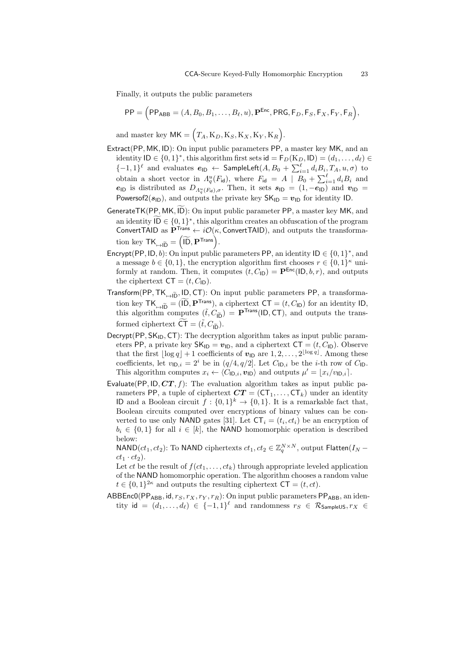Finally, it outputs the public parameters (

$$
\mathsf{PP} = \Big(\mathsf{PP}_{\mathsf{ABB}} = (A, B_0, B_1, \dots, B_\ell, u), \mathbf{P}^{\mathsf{Enc}}, \mathsf{PRG}, \mathsf{F}_D, \mathsf{F}_S, \mathsf{F}_X, \mathsf{F}_Y, \mathsf{F}_R\Big),
$$

and master key  $MK = (T_A, K_D, K_S, K_X, K_Y, K_R)$ .

- Extract(PP*,* MK*,* ID): On input public parameters PP, a master key MK, and an identity  $\mathsf{ID} \in \{0,1\}^*$ , this algorithm first sets  $\mathsf{id} = \mathsf{F}_D(\mathrm{K}_D,\mathsf{ID}) = (d_1,\ldots,d_\ell) \in$ *{*−1*,* 1*}*<sup> $\ell$ </sup> and evaluates  $e$ <sub>ID</sub>  $\leftarrow$  SampleLeft(*A, B*<sub>0</sub> +  $\sum_{i=1}^{\ell} d_i B_i$ ,  $T_A$ ,  $u, \sigma$ ) to obtain a short vector in  $\Lambda_q^u(F_{\text{id}})$ , where  $F_{\text{id}} = A \mid B_0 + \sum_{i=1}^{\ell} d_i B_i$  and *e*<sub>ID</sub> is distributed as  $D_{\Lambda_q^u(F_{\text{id}}),\sigma}$ . Then, it sets  $s_{\text{ID}} = (1,-e_{\text{ID}})$  and  $v_{\text{ID}} =$ Powersof  $2(s_{\text{ID}})$ , and outputs the private key  $SK_{\text{ID}} = v_{\text{ID}}$  for identity ID. obtain a short vector in  $A_q^u(F_{\text{id}})$ , where  $F_{\text{id}} = A \mid B_0 + \sum_{i=1}^{\ell} d_i B_i$  and  $e_{\text{ID}}$  is distributed as  $D_{A_q^u(F_{\text{id}}), \sigma}$ . Then, it sets  $s_{\text{ID}} = (1, -e_{\text{ID}})$  and  $v_{\text{ID}} =$ Powersof2( $s_{\text{ID}}$ ), and outputs the pr  $e_{\text{ID}}$  is distributed as<br>Powersof2( $s_{\text{ID}}$ ), and or<br>nerateTK(PP, MK,  $\widetilde{ID}$ ):<br>an identity  $\widetilde{ID} \in \{0, 1\}$
- *∗* , this algorithm creates an obfuscation of the program ConvertTAID as  $\mathbf{P}^{\text{Trans}} \leftarrow i\mathcal{O}(\kappa, \text{ConvertTAL})$ , and outputs the transformation key  $TK_{\mapsto I\widetilde{D}} = \begin{pmatrix} 1 & 0 \\ 0 & 1 \end{pmatrix}$ GenerateTK(PP, MK, ID): On input public parameter PP, a master key MK, and outputs the<br>
i): On input<br>  $1$ , this algebra the theory<br>  $\overline{1D}$ ,  $\overline{P}$ <sup>Trans</sup>).
- Encrypt(PP, ID, b): On input public parameters PP, an identity  $ID \in \{0, 1\}^*$ , and a message  $b \in \{0, 1\}$ , the encryption algorithm first chooses  $r \in \{0, 1\}^{\kappa}$  uniformly at random. Then, it computes  $(t, C_{\text{ID}}) = \mathbf{P}^{\text{Enc}}(\text{ID}, b, r)$ , and outputs the ciphertext  $CT = (t, C_{\text{ID}})$ .
- Transform(PP, TK<sub>→ID</sub>, ID, CT): On input public parameters PP, a transformaformly at random. Then, it computes  $(t, C_{\text{ID}}) = \mathbf{P}^{\text{Enc}}(\text{ID}, b, r)$ , and outputs the ciphertext  $CT = (t, C_{\text{ID}})$ .<br>ansform(PP, TK<sub><sub>1→ID</sub>, ID, CT): On input public parameters PP, a transformation key TK<sub>1→ID</sub> = (ID,  $\mathbf{$ ansform(PP, TK<sub> $\mapsto \widetilde{D}$ </sub>, ID, CT): (<br>tion key TK<sub> $\mapsto \widetilde{D} = (\widetilde{I}D, P^{Trans})$ <br>this algorithm computes  $(\widetilde{t}, \widetilde{t})$ <br>formed ciphertext  $\widetilde{CT} = (\widetilde{t}, C)$ </sub> formed ciphertext  $\widetilde{\mathsf{CT}} = (\tilde{t}, C_{\tilde{\mathsf{ID}}}).$
- Decrypt(PP, SK<sub>ID</sub>, CT): The decryption algorithm takes as input public parameters PP, a private key  $SK_{\text{ID}} = v_{\text{ID}}$ , and a ciphertext  $CT = (t, C_{\text{ID}})$ . Observe that the first  $\lfloor \log q \rfloor + 1$  coefficients of  $v_{\text{ID}}$  are  $1, 2, \ldots, 2^{\lfloor \log q \rfloor}$ . Among these coefficients, let  $v_{\text{ID},i} = 2^i$  be in  $(q/4, q/2]$ . Let  $C_{\text{ID},i}$  be the *i*-th row of  $C_{\text{ID}}$ . This algorithm computes  $x_i \leftarrow \langle C_{\mathsf{ID},i}, v_{\mathsf{ID}} \rangle$  and outputs  $\mu' = \lfloor x_i/v_{\mathsf{ID},i} \rfloor$ .
- Evaluate(PP, ID,  $CT, f$ ): The evaluation algorithm takes as input public parameters PP, a tuple of ciphertext  $CT = (CT_1, \ldots, CT_k)$  under an identity ID and a Boolean circuit  $f: \{0,1\}^k \to \{0,1\}$ . It is a remarkable fact that, Boolean circuits computed over encryptions of binary values can be converted to use only **NAND** gates [31]. Let  $CT_i = (t_i, ct_i)$  be an encryption of  $b_i \in \{0,1\}$  for all  $i \in [k]$ , the **NAND** homomorphic operation is described below:

 $NAND(ct_1, ct_2)$ : To  $NAND$  ciphertexts  $ct_1, ct_2 \in \mathbb{Z}_q^{N \times N}$ , output  $Flatten(I_N - I_N)$  $ct_1 \cdot ct_2$ .

Let *ct* be the result of  $f(ct_1, \ldots, ct_k)$  through appropriate leveled application of the NAND homomorphic operation. The algorithm chooses a random value  $t \in \{0,1\}^{2\kappa}$  and outputs the resulting ciphertext  $CT = (t, ct)$ .

ABBEnc0(PP<sub>ABB</sub>, id,  $r_S, r_X, r_Y, r_R$ ): On input public parameters PP<sub>ABB</sub>, an identity id =  $(d_1, \ldots, d_\ell) \in \{-1, 1\}^\ell$  and randomness  $r_S \in \mathcal{R}_{\mathsf{SampleUS}}, r_X \in$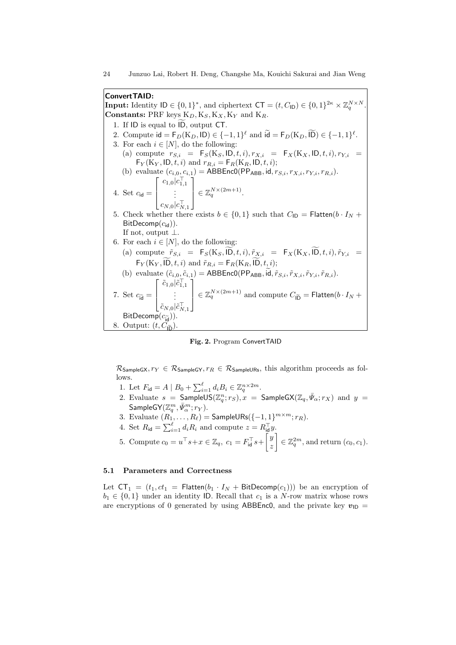**ConvertTAID: Input:** Identity  $\mathsf{ID} \in \{0,1\}^*$ , and ciphertext  $\mathsf{CT} = (t, C_{\mathsf{ID}}) \in \{0,1\}^{2\kappa} \times \mathbb{Z}_q^{N \times N}$ . **Constants:** PRF keys K*D,* K*S,* K*X,* K*<sup>Y</sup>* and K*R*. **Suite TAID:**<br> **put:** Identity  $ID \in \{0, 1\}^*$ , and cipnostants: PRF keys  $K_D, K_S, K_X$ ,<br>
1. If ID is equal to  $\widetilde{ID}$ , output CT. 2. Compute  $id = F_D(K_D, ID) \in \{-1, 1\}^{\ell}$  and  $id = F_D(K_D, ID) \in \{-1, 1\}^{\ell}$ . *P* and  $K_R$ .<br>  $\ell$  and  $\widetilde{\mathbf{Id}} = \mathsf{F}_D(K_D, \widetilde{\mathsf{ID}}) \in \{-1, 1\}$ 3. For each  $i \in [N]$ , do the following: (a) compute  $r_{S,i}$  =  $F_S(K_S, ID, t, i), r_{X,i}$  =  $F_X(K_X, ID, t, i), r_{Y,i}$  =  $\mathsf{F}_Y(\mathbf{K}_Y, \mathsf{ID}, t, i)$  and  $r_{R,i} = \mathsf{F}_R(\mathbf{K}_R, \mathsf{ID}, t, i);$ (b) evaluate  $(c_{i,0}, c_{i,1}) = \text{ABBEnc0}(PP_{ABB}, \text{id}, r_{S,i}, r_{X,i}, r_{Y,i}, r_{R,i}).$ 4. Set  $c_{\mathsf{id}} =$ *c*<sub>1,0</sub>*|c*<sub>1</sub><sup>*−*</sup><sub>1,1</sub>
...  $c_{N,0}|c_{N,1}^{\perp}$  $\in \mathbb{Z}_q^{N \times (2m+1)}$ . 5. Check whether there exists  $b \in \{0, 1\}$  such that  $C_{\text{ID}} = \text{Flatten}(b \cdot I_N + b)$ BitDecomp( $c_{\rm id}$ )). If not, output *⊥*. 6. For each  $i \in [N]$ , do the following: Check whether there exists  $b \in \{0, 1\}$  such that  $C_{\text{ID}} = \text{Flatten}(b \cdot I_N + \text{BitDecomp}(c_{\text{id}})).$ <br>
If not, output  $\perp$ .<br>
For each  $i \in [N]$ , do the following:<br>
(a) compute  $\tilde{r}_{S,i} = F_S(K_S, \tilde{ID}, t, i), \tilde{r}_{X,i} = F_X(K_X, \tilde{ID}, t, i), \tilde{r}_{Y,i$ Fraction  $i \in [N]$ , do the following:<br>
compute  $\tilde{r}_{S,i} = F_S(K_S, \tilde{D}, t, i), \tilde{r}_{X,i} = F_Y(K_Y, \tilde{D}, t, i)$  and  $\tilde{r}_{R,i} = F_R(K_R, \tilde{D}, t, i)$ ; For each  $i \in [N]$ , do the following:<br>
(a) compute  $\tilde{r}_{S,i} = F_S(K_S, \tilde{ID}, t, i), \tilde{r}_{X,i} = F_X(K_X, \tilde{ID}, t, i),$ <br>  $F_Y(K_Y, \tilde{ID}, t, i)$  and  $\tilde{r}_{R,i} = F_R(K_R, \tilde{ID}, t, i);$ <br>
(b) evaluate  $(\tilde{c}_{i,0}, \tilde{c}_{i,1}) = \text{ABBEncO}(PP_{ABB}, \tilde{id}, \tilde{r}_{S,i}, \tilde{r$ 7. Set  $c_{\tilde{\mathsf{id}}} =$  $\sum_{i=1}^{\infty}$  $\mathbf{v}$ , ID,  $t, i$ ) an  $\frac{\tilde{c}_{1,0}|\tilde{c}_{1,1}^{\top}}{\vdots}$  $\tilde{c}_{N,0}|\tilde{c}_{N,1}^+$  $\in \mathbb{Z}_q^{N \times (2m+1)}$  and compute  $C_{\tilde{\mathsf{ID}}} = \mathsf{Flatten}(b \cdot I_N + \mathsf{I}_N)$ BitDecomp $(c_{\tilde{\text{id}}})$ ). 8. Output:  $(t, C_{\tilde{\mathsf{ID}}})$ .

**Fig. 2.** Program ConvertTAID ∑

 $\mathcal{R}_{SampleGX}, r_Y \in \mathcal{R}_{SampleGY}, r_R \in \mathcal{R}_{SampleURs}$ , this algorithm proceeds as follows.

- 1. Let  $F_{id} = A \mid B_0 + \sum_{i=1}^{\ell} d_i B_i \in \mathbb{Z}_q^{n \times 2m}$ .
- 2. Evaluate  $s =$  SampleUS $(\mathbb{Z}_q^n; r_S), x =$  SampleGX $(\mathbb{Z}_q, \bar{\Psi}_\alpha; r_X)$  and  $y =$  $\mathsf{SampleGY}(\mathbb{Z}_q^m, \bar{\Psi}_{\alpha}^m; r_Y).$
- 3. Evaluate  $(R_1, \ldots, R_\ell) = \mathsf{SampleURs}(\{-1, 1\}^{m \times m}; r_R).$
- 4. Set  $R_{\mathsf{id}} = \sum_{i=1}^{\ell} d_i R_i$  and compute  $z = R_{\mathsf{id}}^{\top} y$ .

5. Compute 
$$
c_0 = u^\top s + x \in \mathbb{Z}_q
$$
,  $c_1 = F_{\text{id}}^\top s + \begin{bmatrix} y \\ z \end{bmatrix} \in \mathbb{Z}_q^{2m}$ , and return  $(c_0, c_1)$ .

# **5.1 Parameters and Correctness**

Let  $CT_1 = (t_1, ct_1 = \text{Flatten}(b_1 \cdot I_N + \text{BitDecomp}(c_1)))$  be an encryption of  $b_1 \in \{0,1\}$  under an identity ID. Recall that  $c_1$  is a *N*-row matrix whose rows are encryptions of 0 generated by using ABBEnc0, and the private key  $v_{\text{ID}} =$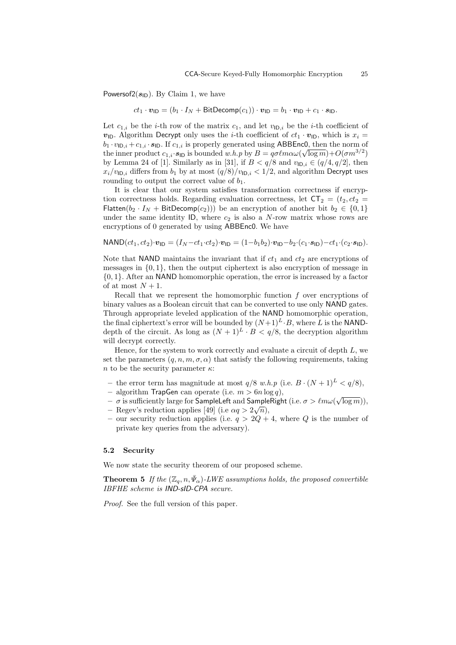Powersof $2(s_{\text{ID}})$ . By Claim 1, we have

$$
ct_1 \cdot \mathbf{v}_{\mathsf{ID}} = (b_1 \cdot I_N + \mathsf{BitDecomp}(c_1)) \cdot \mathbf{v}_{\mathsf{ID}} = b_1 \cdot \mathbf{v}_{\mathsf{ID}} + c_1 \cdot \mathbf{s}_{\mathsf{ID}}.
$$

Let  $c_{1,i}$  be the *i*-th row of the matrix  $c_1$ , and let  $v_{\text{ID},i}$  be the *i*-th coefficient of  $v_{\text{ID}}$ . Algorithm Decrypt only uses the *i*-th coefficient of  $ct_1 \cdot v_{\text{ID}}$ , which is  $x_i =$  $b_1 \cdot v_{\mathsf{ID},i} + c_{1,i} \cdot s_{\mathsf{ID}}$ . If  $c_{1,i}$  is properly generated using ABBEnc0, then the norm of the inner product  $c_{1,i} \cdot s_{\text{ID}}$  is bounded  $w.h.p$  by  $B = q \sigma \ell m \alpha \omega (\sqrt{\log m}) + O(\sigma m^{3/2})$ by Lemma 24 of [1]. Similarly as in [31], if  $B < q/8$  and  $v_{\text{ID},i} \in (q/4, q/2]$ , then  $x_i/v_{\text{ID},i}$  differs from  $b_1$  by at most  $(q/8)/v_{\text{ID},i} < 1/2$ , and algorithm Decrypt uses rounding to output the correct value of  $b_1$ .

It is clear that our system satisfies transformation correctness if encryption correctness holds. Regarding evaluation correctness, let  $CT_2 = (t_2, ct_2)$ Flatten( $b_2 \cdot I_N$  + BitDecomp( $c_2$ ))) be an encryption of another bit  $b_2 \in \{0,1\}$ under the same identity  $ID$ , where  $c_2$  is also a *N*-row matrix whose rows are encryptions of 0 generated by using ABBEnc0. We have

$$
\text{NAND}(ct_1, ct_2) \cdot \boldsymbol{v}_{\text{ID}} = (I_N - ct_1 \cdot ct_2) \cdot \boldsymbol{v}_{\text{ID}} = (1 - b_1 b_2) \cdot \boldsymbol{v}_{\text{ID}} - b_2 \cdot (c_1 \cdot s_{\text{ID}}) - ct_1 \cdot (c_2 \cdot s_{\text{ID}}).
$$

Note that NAND maintains the invariant that if  $ct_1$  and  $ct_2$  are encryptions of messages in  $\{0,1\}$ , then the output ciphertext is also encryption of message in *{*0*,* 1*}*. After an NAND homomorphic operation, the error is increased by a factor of at most  $N+1$ .

Recall that we represent the homomorphic function *f* over encryptions of binary values as a Boolean circuit that can be converted to use only NAND gates. Through appropriate leveled application of the NAND homomorphic operation, the final ciphertext's error will be bounded by  $(N+1)^L \cdot B$ , where *L* is the NANDdepth of the circuit. As long as  $(N + 1)^L \cdot B < q/8$ , the decryption algorithm will decrypt correctly.

Hence, for the system to work correctly and evaluate a circuit of depth *L*, we set the parameters  $(q, n, m, \sigma, \alpha)$  that satisfy the following requirements, taking *n* to be the security parameter *κ*:

- the error term has magnitude at most  $q/8$  *w.h.p* (i.e.  $B \cdot (N+1)^L < q/8$ ),
- **–** algorithm TrapGen can operate (i.e. *m >* 6*n* log *q*),
- *– σ* is sufficiently large for SampleLeft and SampleRight (i.e. *σ > ℓmω*( $\sqrt{\log m}$ )),
- $-$  Regev's reduction applies [49] (i.e  $\alpha q > 2\sqrt{n}$ ),
- **–** our security reduction applies (i.e. *q >* 2*Q* + 4, where *Q* is the number of private key queries from the adversary).

#### **5.2 Security**

We now state the security theorem of our proposed scheme.

**Theorem 5** *If the*  $(\mathbb{Z}_q, n, \bar{\Psi}_\alpha)$ -*LWE assumptions holds, the proposed convertible IBFHE scheme is IND-sID-CPA secure.*

*Proof.* See the full version of this paper.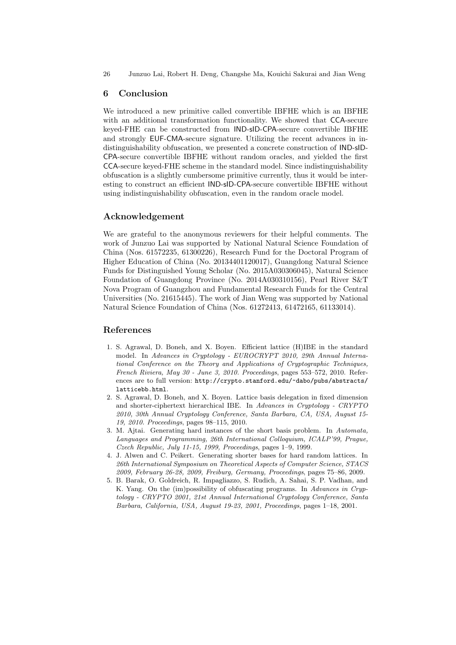## **6 Conclusion**

We introduced a new primitive called convertible IBFHE which is an IBFHE with an additional transformation functionality. We showed that CCA-secure keyed-FHE can be constructed from IND-sID-CPA-secure convertible IBFHE and strongly EUF-CMA-secure signature. Utilizing the recent advances in indistinguishability obfuscation, we presented a concrete construction of IND-sID-CPA-secure convertible IBFHE without random oracles, and yielded the first CCA-secure keyed-FHE scheme in the standard model. Since indistinguishability obfuscation is a slightly cumbersome primitive currently, thus it would be interesting to construct an efficient IND-sID-CPA-secure convertible IBFHE without using indistinguishability obfuscation, even in the random oracle model.

## **Acknowledgement**

We are grateful to the anonymous reviewers for their helpful comments. The work of Junzuo Lai was supported by National Natural Science Foundation of China (Nos. 61572235, 61300226), Research Fund for the Doctoral Program of Higher Education of China (No. 20134401120017), Guangdong Natural Science Funds for Distinguished Young Scholar (No. 2015A030306045), Natural Science Foundation of Guangdong Province (No. 2014A030310156), Pearl River S&T Nova Program of Guangzhou and Fundamental Research Funds for the Central Universities (No. 21615445). The work of Jian Weng was supported by National Natural Science Foundation of China (Nos. 61272413, 61472165, 61133014).

# **References**

- 1. S. Agrawal, D. Boneh, and X. Boyen. Efficient lattice (H)IBE in the standard model. In *Advances in Cryptology - EUROCRYPT 2010, 29th Annual International Conference on the Theory and Applications of Cryptographic Techniques, French Riviera, May 30 - June 3, 2010. Proceedings*, pages 553–572, 2010. References are to full version: http://crypto.stanford.edu/~dabo/pubs/abstracts/ latticebb.html.
- 2. S. Agrawal, D. Boneh, and X. Boyen. Lattice basis delegation in fixed dimension and shorter-ciphertext hierarchical IBE. In *Advances in Cryptology - CRYPTO 2010, 30th Annual Cryptology Conference, Santa Barbara, CA, USA, August 15- 19, 2010. Proceedings*, pages 98–115, 2010.
- 3. M. Ajtai. Generating hard instances of the short basis problem. In *Automata, Languages and Programming, 26th International Colloquium, ICALP'99, Prague, Czech Republic, July 11-15, 1999, Proceedings*, pages 1–9, 1999.
- 4. J. Alwen and C. Peikert. Generating shorter bases for hard random lattices. In *26th International Symposium on Theoretical Aspects of Computer Science, STACS 2009, February 26-28, 2009, Freiburg, Germany, Proceedings*, pages 75–86, 2009.
- 5. B. Barak, O. Goldreich, R. Impagliazzo, S. Rudich, A. Sahai, S. P. Vadhan, and K. Yang. On the (im)possibility of obfuscating programs. In *Advances in Cryptology - CRYPTO 2001, 21st Annual International Cryptology Conference, Santa Barbara, California, USA, August 19-23, 2001, Proceedings*, pages 1–18, 2001.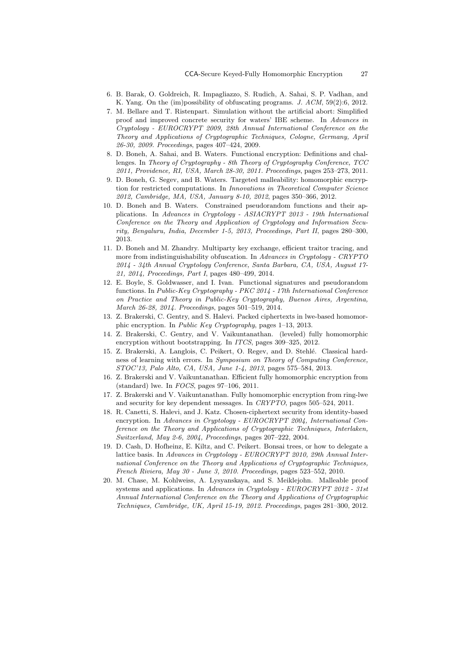- 6. B. Barak, O. Goldreich, R. Impagliazzo, S. Rudich, A. Sahai, S. P. Vadhan, and K. Yang. On the (im)possibility of obfuscating programs. *J. ACM*, 59(2):6, 2012.
- 7. M. Bellare and T. Ristenpart. Simulation without the artificial abort: Simplified proof and improved concrete security for waters' IBE scheme. In *Advances in Cryptology - EUROCRYPT 2009, 28th Annual International Conference on the Theory and Applications of Cryptographic Techniques, Cologne, Germany, April 26-30, 2009. Proceedings*, pages 407–424, 2009.
- 8. D. Boneh, A. Sahai, and B. Waters. Functional encryption: Definitions and challenges. In *Theory of Cryptography - 8th Theory of Cryptography Conference, TCC 2011, Providence, RI, USA, March 28-30, 2011. Proceedings*, pages 253–273, 2011.
- 9. D. Boneh, G. Segev, and B. Waters. Targeted malleability: homomorphic encryption for restricted computations. In *Innovations in Theoretical Computer Science 2012, Cambridge, MA, USA, January 8-10, 2012*, pages 350–366, 2012.
- 10. D. Boneh and B. Waters. Constrained pseudorandom functions and their applications. In *Advances in Cryptology - ASIACRYPT 2013 - 19th International Conference on the Theory and Application of Cryptology and Information Security, Bengaluru, India, December 1-5, 2013, Proceedings, Part II*, pages 280–300, 2013.
- 11. D. Boneh and M. Zhandry. Multiparty key exchange, efficient traitor tracing, and more from indistinguishability obfuscation. In *Advances in Cryptology - CRYPTO 2014 - 34th Annual Cryptology Conference, Santa Barbara, CA, USA, August 17- 21, 2014, Proceedings, Part I*, pages 480–499, 2014.
- 12. E. Boyle, S. Goldwasser, and I. Ivan. Functional signatures and pseudorandom functions. In *Public-Key Cryptography - PKC 2014 - 17th International Conference on Practice and Theory in Public-Key Cryptography, Buenos Aires, Argentina, March 26-28, 2014. Proceedings*, pages 501–519, 2014.
- 13. Z. Brakerski, C. Gentry, and S. Halevi. Packed ciphertexts in lwe-based homomorphic encryption. In *Public Key Cryptography*, pages 1–13, 2013.
- 14. Z. Brakerski, C. Gentry, and V. Vaikuntanathan. (leveled) fully homomorphic encryption without bootstrapping. In *ITCS*, pages 309–325, 2012.
- 15. Z. Brakerski, A. Langlois, C. Peikert, O. Regev, and D. Stehlé. Classical hardness of learning with errors. In *Symposium on Theory of Computing Conference, STOC'13, Palo Alto, CA, USA, June 1-4, 2013*, pages 575–584, 2013.
- 16. Z. Brakerski and V. Vaikuntanathan. Efficient fully homomorphic encryption from (standard) lwe. In *FOCS*, pages 97–106, 2011.
- 17. Z. Brakerski and V. Vaikuntanathan. Fully homomorphic encryption from ring-lwe and security for key dependent messages. In *CRYPTO*, pages 505–524, 2011.
- 18. R. Canetti, S. Halevi, and J. Katz. Chosen-ciphertext security from identity-based encryption. In *Advances in Cryptology - EUROCRYPT 2004, International Conference on the Theory and Applications of Cryptographic Techniques, Interlaken, Switzerland, May 2-6, 2004, Proceedings*, pages 207–222, 2004.
- 19. D. Cash, D. Hofheinz, E. Kiltz, and C. Peikert. Bonsai trees, or how to delegate a lattice basis. In *Advances in Cryptology - EUROCRYPT 2010, 29th Annual International Conference on the Theory and Applications of Cryptographic Techniques, French Riviera, May 30 - June 3, 2010. Proceedings*, pages 523–552, 2010.
- 20. M. Chase, M. Kohlweiss, A. Lysyanskaya, and S. Meiklejohn. Malleable proof systems and applications. In *Advances in Cryptology - EUROCRYPT 2012 - 31st Annual International Conference on the Theory and Applications of Cryptographic Techniques, Cambridge, UK, April 15-19, 2012. Proceedings*, pages 281–300, 2012.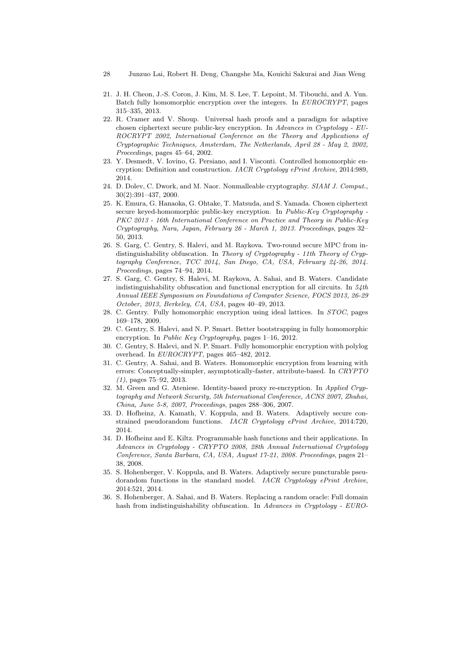- 28 Junzuo Lai, Robert H. Deng, Changshe Ma, Kouichi Sakurai and Jian Weng
- 21. J. H. Cheon, J.-S. Coron, J. Kim, M. S. Lee, T. Lepoint, M. Tibouchi, and A. Yun. Batch fully homomorphic encryption over the integers. In *EUROCRYPT*, pages 315–335, 2013.
- 22. R. Cramer and V. Shoup. Universal hash proofs and a paradigm for adaptive chosen ciphertext secure public-key encryption. In *Advances in Cryptology - EU-ROCRYPT 2002, International Conference on the Theory and Applications of Cryptographic Techniques, Amsterdam, The Netherlands, April 28 - May 2, 2002, Proceedings*, pages 45–64, 2002.
- 23. Y. Desmedt, V. Iovino, G. Persiano, and I. Visconti. Controlled homomorphic encryption: Definition and construction. *IACR Cryptology ePrint Archive*, 2014:989, 2014.
- 24. D. Dolev, C. Dwork, and M. Naor. Nonmalleable cryptography. *SIAM J. Comput.*, 30(2):391–437, 2000.
- 25. K. Emura, G. Hanaoka, G. Ohtake, T. Matsuda, and S. Yamada. Chosen ciphertext secure keyed-homomorphic public-key encryption. In *Public-Key Cryptography - PKC 2013 - 16th International Conference on Practice and Theory in Public-Key Cryptography, Nara, Japan, February 26 - March 1, 2013. Proceedings*, pages 32– 50, 2013.
- 26. S. Garg, C. Gentry, S. Halevi, and M. Raykova. Two-round secure MPC from indistinguishability obfuscation. In *Theory of Cryptography - 11th Theory of Cryptography Conference, TCC 2014, San Diego, CA, USA, February 24-26, 2014. Proceedings*, pages 74–94, 2014.
- 27. S. Garg, C. Gentry, S. Halevi, M. Raykova, A. Sahai, and B. Waters. Candidate indistinguishability obfuscation and functional encryption for all circuits. In *54th Annual IEEE Symposium on Foundations of Computer Science, FOCS 2013, 26-29 October, 2013, Berkeley, CA, USA*, pages 40–49, 2013.
- 28. C. Gentry. Fully homomorphic encryption using ideal lattices. In *STOC*, pages 169–178, 2009.
- 29. C. Gentry, S. Halevi, and N. P. Smart. Better bootstrapping in fully homomorphic encryption. In *Public Key Cryptography*, pages 1–16, 2012.
- 30. C. Gentry, S. Halevi, and N. P. Smart. Fully homomorphic encryption with polylog overhead. In *EUROCRYPT*, pages 465–482, 2012.
- 31. C. Gentry, A. Sahai, and B. Waters. Homomorphic encryption from learning with errors: Conceptually-simpler, asymptotically-faster, attribute-based. In *CRYPTO (1)*, pages 75–92, 2013.
- 32. M. Green and G. Ateniese. Identity-based proxy re-encryption. In *Applied Cryptography and Network Security, 5th International Conference, ACNS 2007, Zhuhai, China, June 5-8, 2007, Proceedings*, pages 288–306, 2007.
- 33. D. Hofheinz, A. Kamath, V. Koppula, and B. Waters. Adaptively secure constrained pseudorandom functions. *IACR Cryptology ePrint Archive*, 2014:720, 2014.
- 34. D. Hofheinz and E. Kiltz. Programmable hash functions and their applications. In *Advances in Cryptology - CRYPTO 2008, 28th Annual International Cryptology Conference, Santa Barbara, CA, USA, August 17-21, 2008. Proceedings*, pages 21– 38, 2008.
- 35. S. Hohenberger, V. Koppula, and B. Waters. Adaptively secure puncturable pseudorandom functions in the standard model. *IACR Cryptology ePrint Archive*, 2014:521, 2014.
- 36. S. Hohenberger, A. Sahai, and B. Waters. Replacing a random oracle: Full domain hash from indistinguishability obfuscation. In *Advances in Cryptology - EURO-*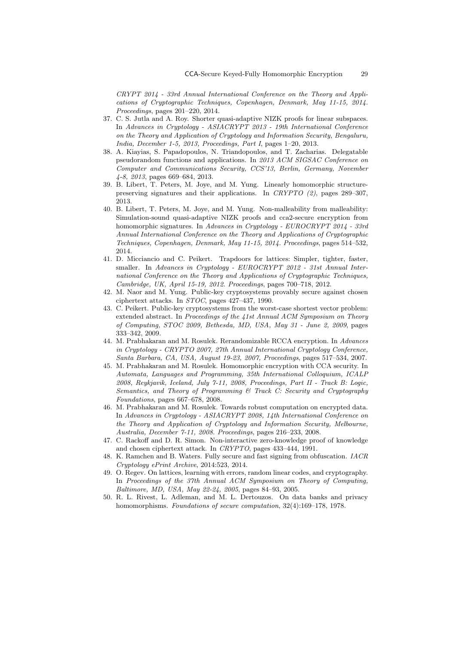*CRYPT 2014 - 33rd Annual International Conference on the Theory and Applications of Cryptographic Techniques, Copenhagen, Denmark, May 11-15, 2014. Proceedings*, pages 201–220, 2014.

- 37. C. S. Jutla and A. Roy. Shorter quasi-adaptive NIZK proofs for linear subspaces. In *Advances in Cryptology - ASIACRYPT 2013 - 19th International Conference on the Theory and Application of Cryptology and Information Security, Bengaluru, India, December 1-5, 2013, Proceedings, Part I*, pages 1–20, 2013.
- 38. A. Kiayias, S. Papadopoulos, N. Triandopoulos, and T. Zacharias. Delegatable pseudorandom functions and applications. In *2013 ACM SIGSAC Conference on Computer and Communications Security, CCS'13, Berlin, Germany, November 4-8, 2013*, pages 669–684, 2013.
- 39. B. Libert, T. Peters, M. Joye, and M. Yung. Linearly homomorphic structurepreserving signatures and their applications. In *CRYPTO (2)*, pages 289–307, 2013.
- 40. B. Libert, T. Peters, M. Joye, and M. Yung. Non-malleability from malleability: Simulation-sound quasi-adaptive NIZK proofs and cca2-secure encryption from homomorphic signatures. In *Advances in Cryptology - EUROCRYPT 2014 - 33rd Annual International Conference on the Theory and Applications of Cryptographic Techniques, Copenhagen, Denmark, May 11-15, 2014. Proceedings*, pages 514–532, 2014.
- 41. D. Micciancio and C. Peikert. Trapdoors for lattices: Simpler, tighter, faster, smaller. In *Advances in Cryptology - EUROCRYPT 2012 - 31st Annual International Conference on the Theory and Applications of Cryptographic Techniques, Cambridge, UK, April 15-19, 2012. Proceedings*, pages 700–718, 2012.
- 42. M. Naor and M. Yung. Public-key cryptosystems provably secure against chosen ciphertext attacks. In *STOC*, pages 427–437, 1990.
- 43. C. Peikert. Public-key cryptosystems from the worst-case shortest vector problem: extended abstract. In *Proceedings of the 41st Annual ACM Symposium on Theory of Computing, STOC 2009, Bethesda, MD, USA, May 31 - June 2, 2009*, pages 333–342, 2009.
- 44. M. Prabhakaran and M. Rosulek. Rerandomizable RCCA encryption. In *Advances in Cryptology - CRYPTO 2007, 27th Annual International Cryptology Conference, Santa Barbara, CA, USA, August 19-23, 2007, Proceedings*, pages 517–534, 2007.
- 45. M. Prabhakaran and M. Rosulek. Homomorphic encryption with CCA security. In *Automata, Languages and Programming, 35th International Colloquium, ICALP 2008, Reykjavik, Iceland, July 7-11, 2008, Proceedings, Part II - Track B: Logic, Semantics, and Theory of Programming & Track C: Security and Cryptography Foundations*, pages 667–678, 2008.
- 46. M. Prabhakaran and M. Rosulek. Towards robust computation on encrypted data. In *Advances in Cryptology - ASIACRYPT 2008, 14th International Conference on the Theory and Application of Cryptology and Information Security, Melbourne, Australia, December 7-11, 2008. Proceedings*, pages 216–233, 2008.
- 47. C. Rackoff and D. R. Simon. Non-interactive zero-knowledge proof of knowledge and chosen ciphertext attack. In *CRYPTO*, pages 433–444, 1991.
- 48. K. Ramchen and B. Waters. Fully secure and fast signing from obfuscation. *IACR Cryptology ePrint Archive*, 2014:523, 2014.
- 49. O. Regev. On lattices, learning with errors, random linear codes, and cryptography. In *Proceedings of the 37th Annual ACM Symposium on Theory of Computing, Baltimore, MD, USA, May 22-24, 2005*, pages 84–93, 2005.
- 50. R. L. Rivest, L. Adleman, and M. L. Dertouzos. On data banks and privacy homomorphisms. *Foundations of secure computation*, 32(4):169–178, 1978.